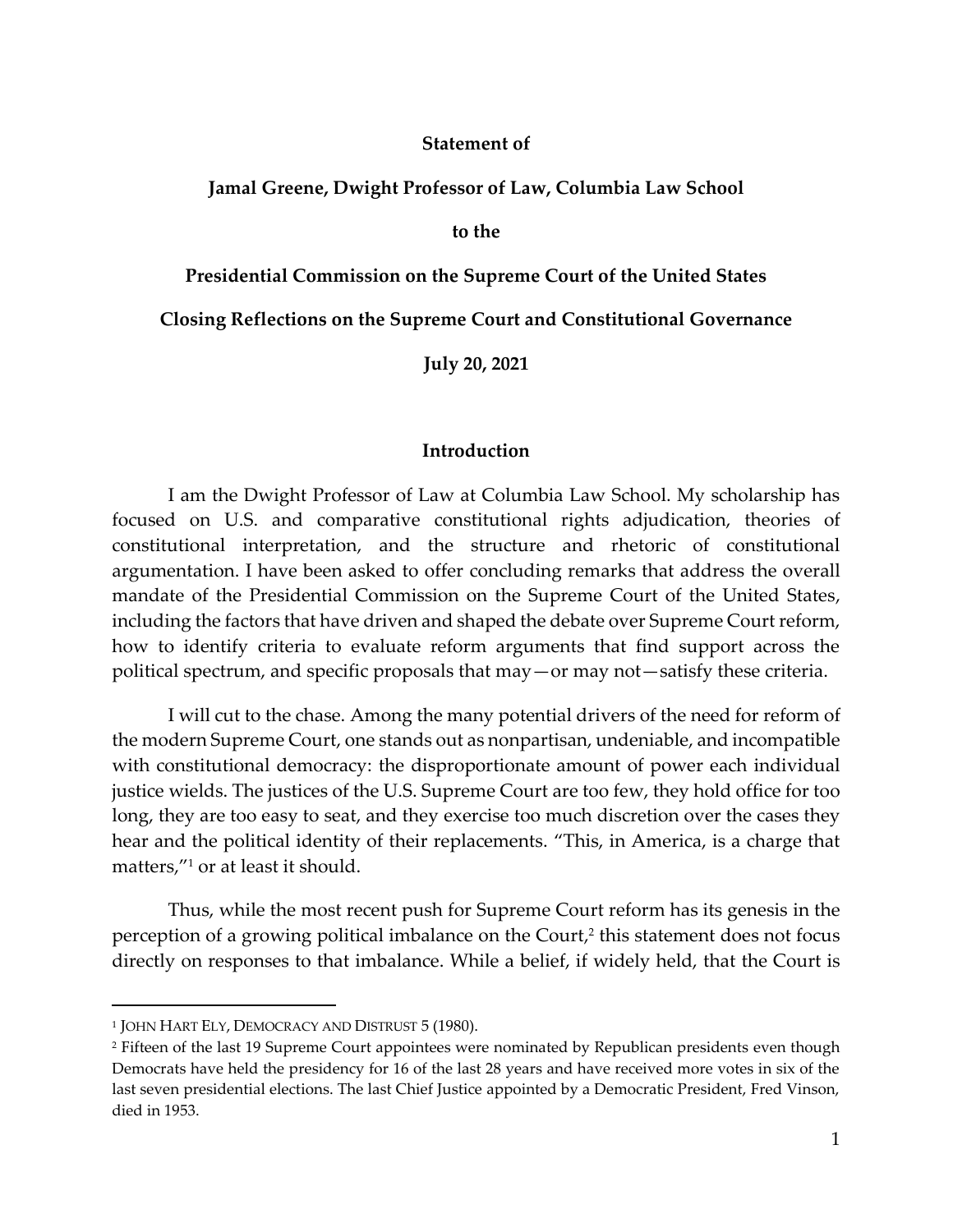#### **Statement of**

#### **Jamal Greene, Dwight Professor of Law, Columbia Law School**

**to the** 

**Presidential Commission on the Supreme Court of the United States**

**Closing Reflections on the Supreme Court and Constitutional Governance**

**July 20, 2021**

#### **Introduction**

I am the Dwight Professor of Law at Columbia Law School. My scholarship has focused on U.S. and comparative constitutional rights adjudication, theories of constitutional interpretation, and the structure and rhetoric of constitutional argumentation. I have been asked to offer concluding remarks that address the overall mandate of the Presidential Commission on the Supreme Court of the United States, including the factors that have driven and shaped the debate over Supreme Court reform, how to identify criteria to evaluate reform arguments that find support across the political spectrum, and specific proposals that may—or may not—satisfy these criteria.

I will cut to the chase. Among the many potential drivers of the need for reform of the modern Supreme Court, one stands out as nonpartisan, undeniable, and incompatible with constitutional democracy: the disproportionate amount of power each individual justice wields. The justices of the U.S. Supreme Court are too few, they hold office for too long, they are too easy to seat, and they exercise too much discretion over the cases they hear and the political identity of their replacements. "This, in America, is a charge that matters,"<sup>1</sup> or at least it should.

Thus, while the most recent push for Supreme Court reform has its genesis in the perception of a growing political imbalance on the Court, 2 this statement does not focus directly on responses to that imbalance. While a belief, if widely held, that the Court is

<sup>1</sup> JOHN HART ELY, DEMOCRACY AND DISTRUST 5 (1980).

<sup>&</sup>lt;sup>2</sup> Fifteen of the last 19 Supreme Court appointees were nominated by Republican presidents even though Democrats have held the presidency for 16 of the last 28 years and have received more votes in six of the last seven presidential elections. The last Chief Justice appointed by a Democratic President, Fred Vinson, died in 1953.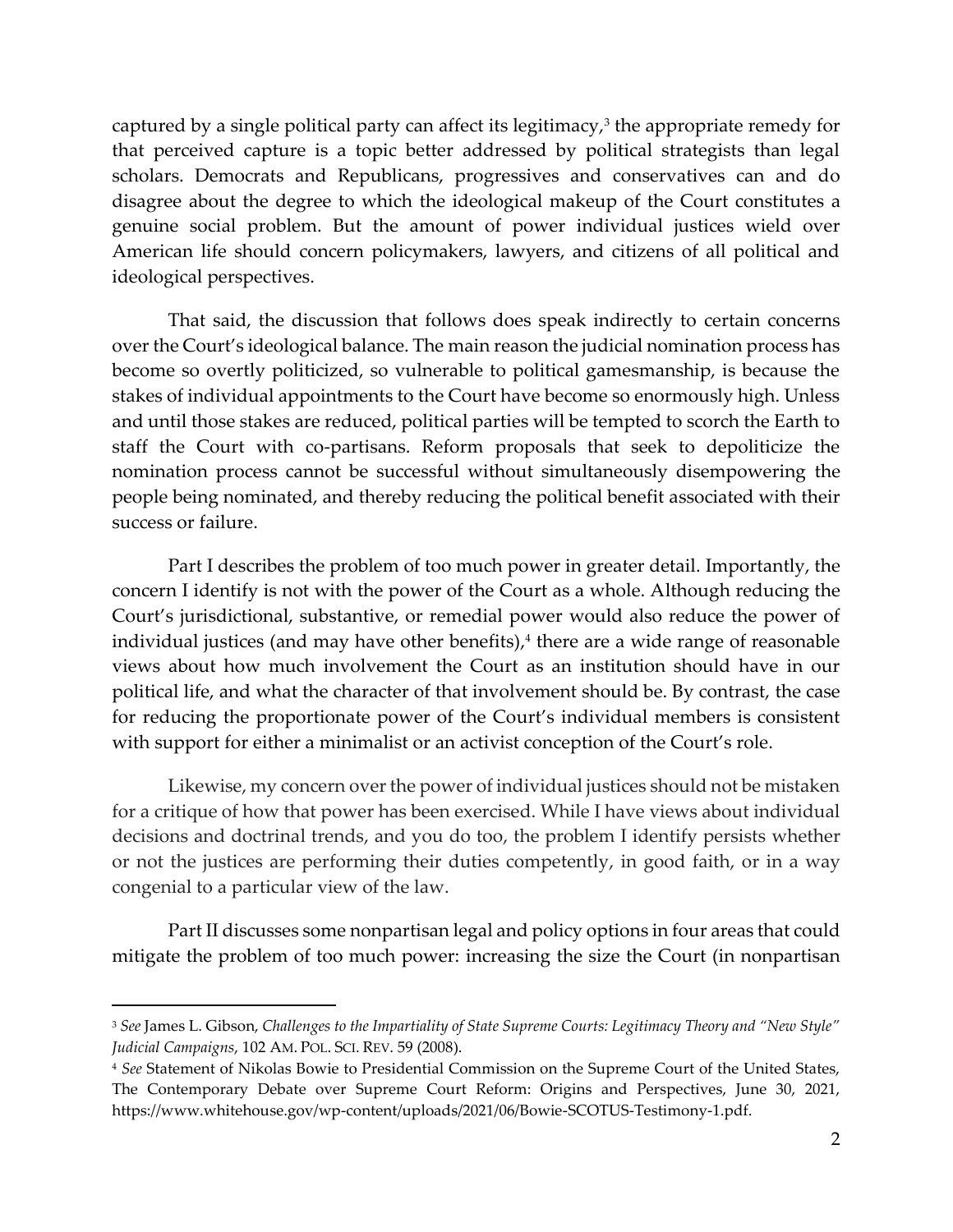captured by a single political party can affect its legitimacy,<sup>3</sup> the appropriate remedy for that perceived capture is a topic better addressed by political strategists than legal scholars. Democrats and Republicans, progressives and conservatives can and do disagree about the degree to which the ideological makeup of the Court constitutes a genuine social problem. But the amount of power individual justices wield over American life should concern policymakers, lawyers, and citizens of all political and ideological perspectives.

That said, the discussion that follows does speak indirectly to certain concerns over the Court's ideological balance. The main reason the judicial nomination process has become so overtly politicized, so vulnerable to political gamesmanship, is because the stakes of individual appointments to the Court have become so enormously high. Unless and until those stakes are reduced, political parties will be tempted to scorch the Earth to staff the Court with co-partisans. Reform proposals that seek to depoliticize the nomination process cannot be successful without simultaneously disempowering the people being nominated, and thereby reducing the political benefit associated with their success or failure.

Part I describes the problem of too much power in greater detail. Importantly, the concern I identify is not with the power of the Court as a whole. Although reducing the Court's jurisdictional, substantive, or remedial power would also reduce the power of individual justices (and may have other benefits), 4 there are a wide range of reasonable views about how much involvement the Court as an institution should have in our political life, and what the character of that involvement should be. By contrast, the case for reducing the proportionate power of the Court's individual members is consistent with support for either a minimalist or an activist conception of the Court's role.

Likewise, my concern over the power of individual justices should not be mistaken for a critique of how that power has been exercised. While I have views about individual decisions and doctrinal trends, and you do too, the problem I identify persists whether or not the justices are performing their duties competently, in good faith, or in a way congenial to a particular view of the law.

Part II discusses some nonpartisan legal and policy options in four areas that could mitigate the problem of too much power: increasing the size the Court (in nonpartisan

<sup>3</sup> *See* James L. Gibson, *Challenges to the Impartiality of State Supreme Courts: Legitimacy Theory and "New Style" Judicial Campaigns*, 102 AM. POL. SCI. REV. 59 (2008).

<sup>4</sup> *See* Statement of Nikolas Bowie to Presidential Commission on the Supreme Court of the United States, The Contemporary Debate over Supreme Court Reform: Origins and Perspectives, June 30, 2021, https://www.whitehouse.gov/wp-content/uploads/2021/06/Bowie-SCOTUS-Testimony-1.pdf.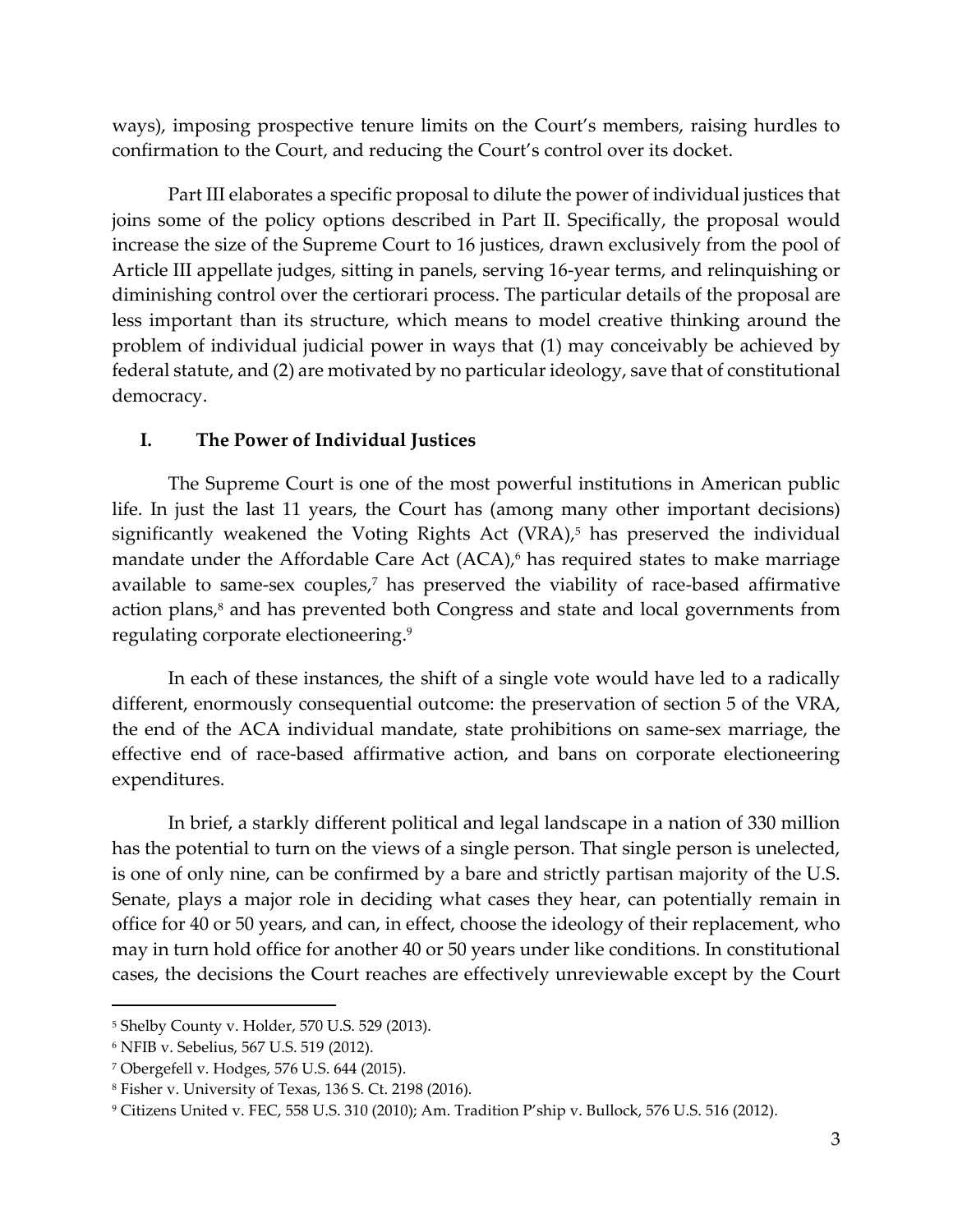ways), imposing prospective tenure limits on the Court's members, raising hurdles to confirmation to the Court, and reducing the Court's control over its docket.

Part III elaborates a specific proposal to dilute the power of individual justices that joins some of the policy options described in Part II. Specifically, the proposal would increase the size of the Supreme Court to 16 justices, drawn exclusively from the pool of Article III appellate judges, sitting in panels, serving 16-year terms, and relinquishing or diminishing control over the certiorari process. The particular details of the proposal are less important than its structure, which means to model creative thinking around the problem of individual judicial power in ways that (1) may conceivably be achieved by federal statute, and (2) are motivated by no particular ideology, save that of constitutional democracy.

# **I. The Power of Individual Justices**

The Supreme Court is one of the most powerful institutions in American public life. In just the last 11 years, the Court has (among many other important decisions) significantly weakened the Voting Rights Act (VRA), <sup>5</sup> has preserved the individual mandate under the Affordable Care Act (ACA), <sup>6</sup> has required states to make marriage available to same-sex couples, <sup>7</sup> has preserved the viability of race-based affirmative action plans, <sup>8</sup> and has prevented both Congress and state and local governments from regulating corporate electioneering. 9

In each of these instances, the shift of a single vote would have led to a radically different, enormously consequential outcome: the preservation of section 5 of the VRA, the end of the ACA individual mandate, state prohibitions on same-sex marriage, the effective end of race-based affirmative action, and bans on corporate electioneering expenditures.

In brief, a starkly different political and legal landscape in a nation of 330 million has the potential to turn on the views of a single person. That single person is unelected, is one of only nine, can be confirmed by a bare and strictly partisan majority of the U.S. Senate, plays a major role in deciding what cases they hear, can potentially remain in office for 40 or 50 years, and can, in effect, choose the ideology of their replacement, who may in turn hold office for another 40 or 50 years under like conditions. In constitutional cases, the decisions the Court reaches are effectively unreviewable except by the Court

<sup>5</sup> Shelby County v. Holder, 570 U.S. 529 (2013).

<sup>6</sup> NFIB v. Sebelius, 567 U.S. 519 (2012).

<sup>7</sup> Obergefell v. Hodges, 576 U.S. 644 (2015).

<sup>8</sup> Fisher v. University of Texas, 136 S. Ct. 2198 (2016).

<sup>9</sup> Citizens United v. FEC, 558 U.S. 310 (2010); Am. Tradition P'ship v. Bullock, 576 U.S. 516 (2012).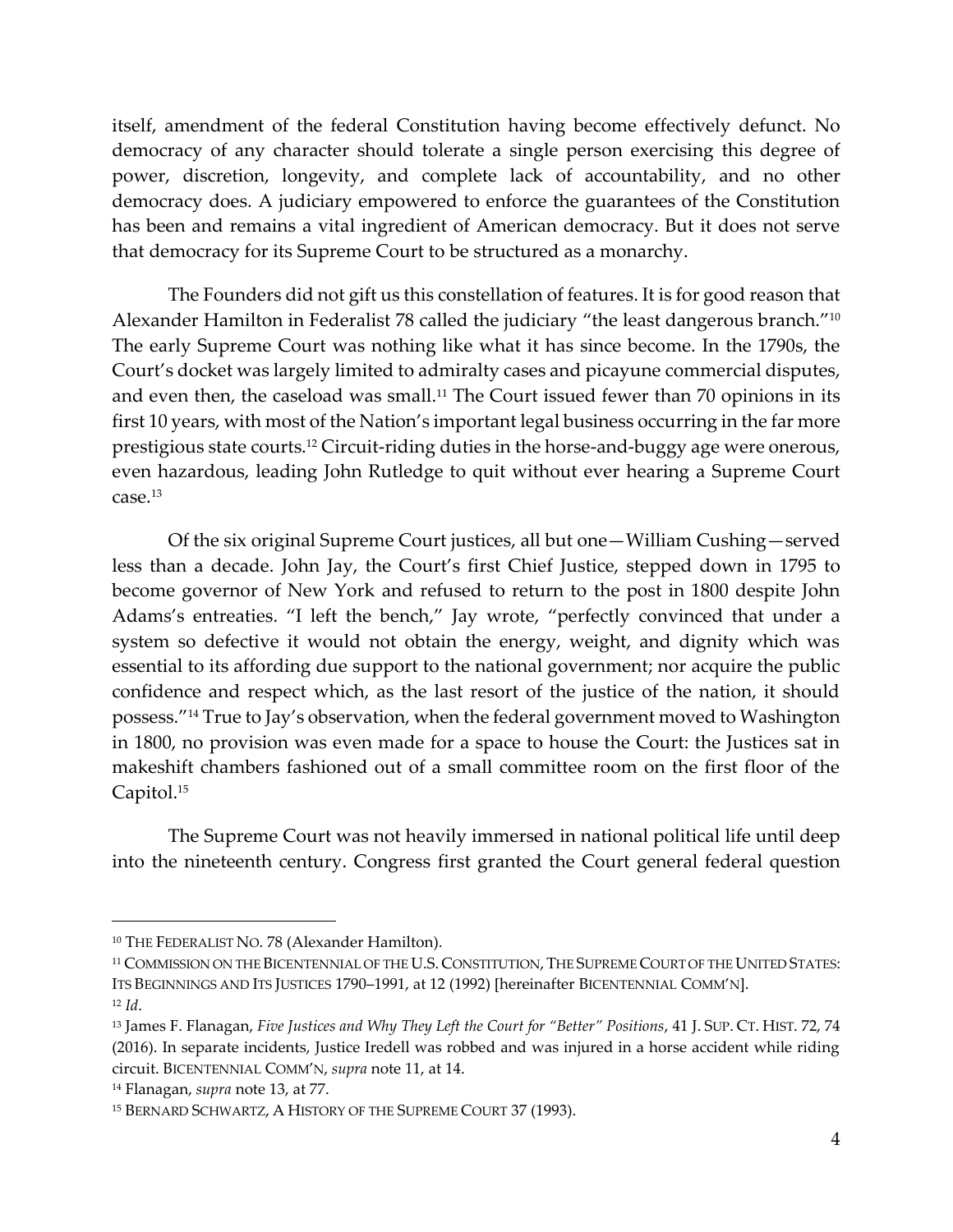itself, amendment of the federal Constitution having become effectively defunct. No democracy of any character should tolerate a single person exercising this degree of power, discretion, longevity, and complete lack of accountability, and no other democracy does. A judiciary empowered to enforce the guarantees of the Constitution has been and remains a vital ingredient of American democracy. But it does not serve that democracy for its Supreme Court to be structured as a monarchy.

<span id="page-3-0"></span>The Founders did not gift us this constellation of features. It is for good reason that Alexander Hamilton in Federalist 78 called the judiciary "the least dangerous branch."<sup>10</sup> The early Supreme Court was nothing like what it has since become. In the 1790s, the Court's docket was largely limited to admiralty cases and picayune commercial disputes, and even then, the caseload was small.<sup>11</sup> The Court issued fewer than 70 opinions in its first 10 years, with most of the Nation's important legal business occurring in the far more prestigious state courts.<sup>12</sup> Circuit-riding duties in the horse-and-buggy age were onerous, even hazardous, leading John Rutledge to quit without ever hearing a Supreme Court case. 13

<span id="page-3-1"></span>Of the six original Supreme Court justices, all but one—William Cushing—served less than a decade. John Jay, the Court's first Chief Justice, stepped down in 1795 to become governor of New York and refused to return to the post in 1800 despite John Adams's entreaties. "I left the bench," Jay wrote, "perfectly convinced that under a system so defective it would not obtain the energy, weight, and dignity which was essential to its affording due support to the national government; nor acquire the public confidence and respect which, as the last resort of the justice of the nation, it should possess."<sup>14</sup> True to Jay's observation, when the federal government moved to Washington in 1800, no provision was even made for a space to house the Court: the Justices sat in makeshift chambers fashioned out of a small committee room on the first floor of the Capitol.<sup>15</sup>

The Supreme Court was not heavily immersed in national political life until deep into the nineteenth century. Congress first granted the Court general federal question

<sup>10</sup> THE FEDERALIST NO. 78 (Alexander Hamilton).

<sup>11</sup> COMMISSION ON THE BICENTENNIAL OF THE U.S. CONSTITUTION, THE SUPREME COURT OF THE UNITED STATES: ITS BEGINNINGS AND ITS JUSTICES 1790–1991, at 12 (1992) [hereinafter BICENTENNIAL COMM'N]. <sup>12</sup> *Id*.

<sup>13</sup> James F. Flanagan, *Five Justices and Why They Left the Court for "Better" Positions*, 41 J. SUP. CT. HIST. 72, 74 (2016). In separate incidents, Justice Iredell was robbed and was injured in a horse accident while riding circuit. BICENTENNIAL COMM'N, *supra* note [11,](#page-3-0) at 14.

<sup>14</sup> Flanagan, *supra* note [13,](#page-3-1) at 77.

<sup>15</sup> BERNARD SCHWARTZ, A HISTORY OF THE SUPREME COURT 37 (1993).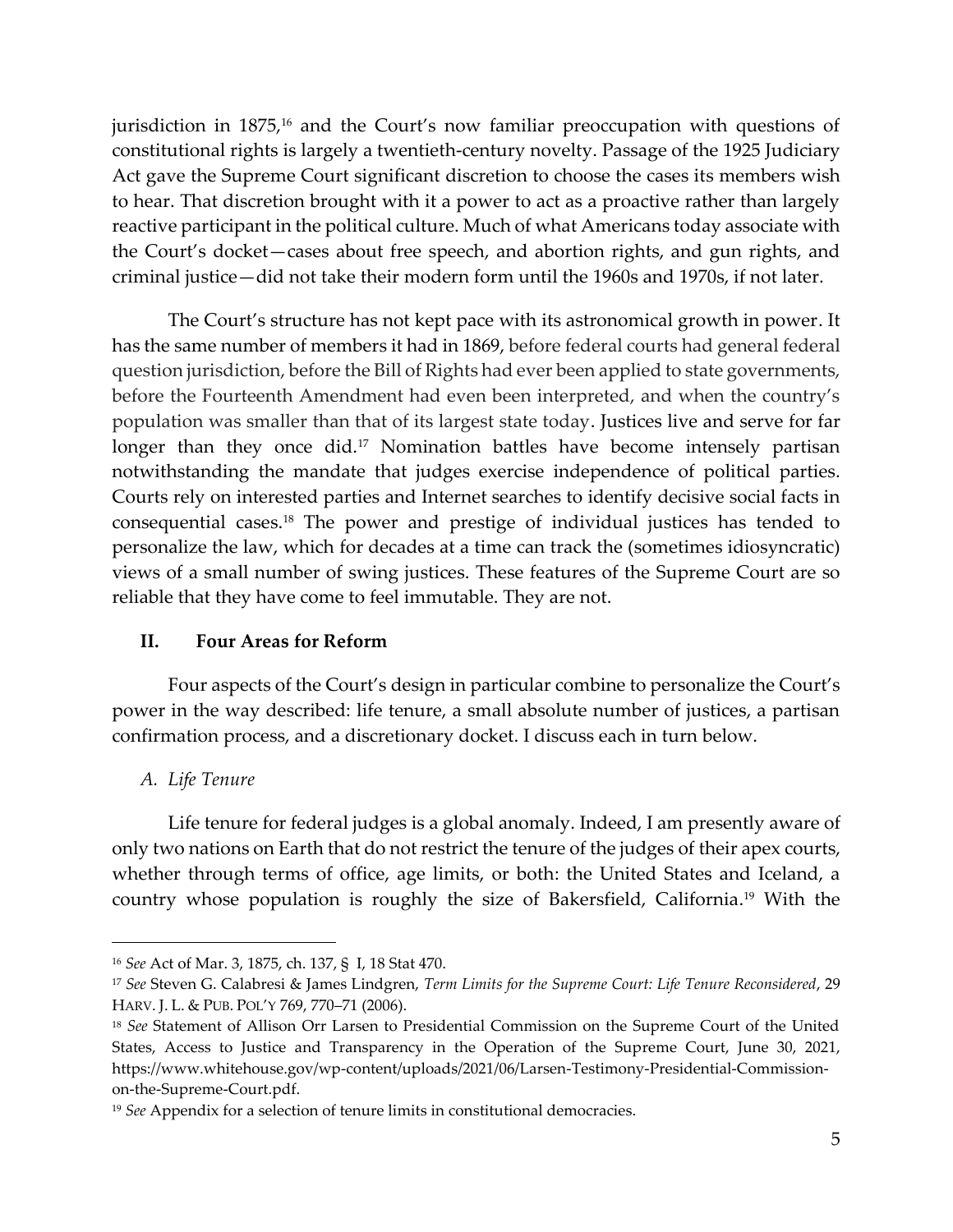jurisdiction in 1875,<sup>16</sup> and the Court's now familiar preoccupation with questions of constitutional rights is largely a twentieth-century novelty. Passage of the 1925 Judiciary Act gave the Supreme Court significant discretion to choose the cases its members wish to hear. That discretion brought with it a power to act as a proactive rather than largely reactive participant in the political culture. Much of what Americans today associate with the Court's docket—cases about free speech, and abortion rights, and gun rights, and criminal justice—did not take their modern form until the 1960s and 1970s, if not later.

<span id="page-4-0"></span>The Court's structure has not kept pace with its astronomical growth in power. It has the same number of members it had in 1869, before federal courts had general federal question jurisdiction, before the Bill of Rights had ever been applied to state governments, before the Fourteenth Amendment had even been interpreted, and when the country's population was smaller than that of its largest state today. Justices live and serve for far longer than they once did.<sup>17</sup> Nomination battles have become intensely partisan notwithstanding the mandate that judges exercise independence of political parties. Courts rely on interested parties and Internet searches to identify decisive social facts in consequential cases. <sup>18</sup> The power and prestige of individual justices has tended to personalize the law, which for decades at a time can track the (sometimes idiosyncratic) views of a small number of swing justices. These features of the Supreme Court are so reliable that they have come to feel immutable. They are not.

# <span id="page-4-1"></span>**II. Four Areas for Reform**

Four aspects of the Court's design in particular combine to personalize the Court's power in the way described: life tenure, a small absolute number of justices, a partisan confirmation process, and a discretionary docket. I discuss each in turn below.

# *A. Life Tenure*

Life tenure for federal judges is a global anomaly. Indeed, I am presently aware of only two nations on Earth that do not restrict the tenure of the judges of their apex courts, whether through terms of office, age limits, or both: the United States and Iceland, a country whose population is roughly the size of Bakersfield, California. <sup>19</sup> With the

<sup>16</sup> *See* Act of Mar. 3, 1875, ch. 137, § I, 18 Stat 470.

<sup>17</sup> *See* Steven G. Calabresi & James Lindgren, *Term Limits for the Supreme Court: Life Tenure Reconsidered*, 29 HARV. J. L. & PUB. POL'Y 769, 770–71 (2006).

<sup>18</sup> *See* Statement of Allison Orr Larsen to Presidential Commission on the Supreme Court of the United States, Access to Justice and Transparency in the Operation of the Supreme Court, June 30, 2021, https://www.whitehouse.gov/wp-content/uploads/2021/06/Larsen-Testimony-Presidential-Commissionon-the-Supreme-Court.pdf.

<sup>19</sup> *See* Appendix for a selection of tenure limits in constitutional democracies.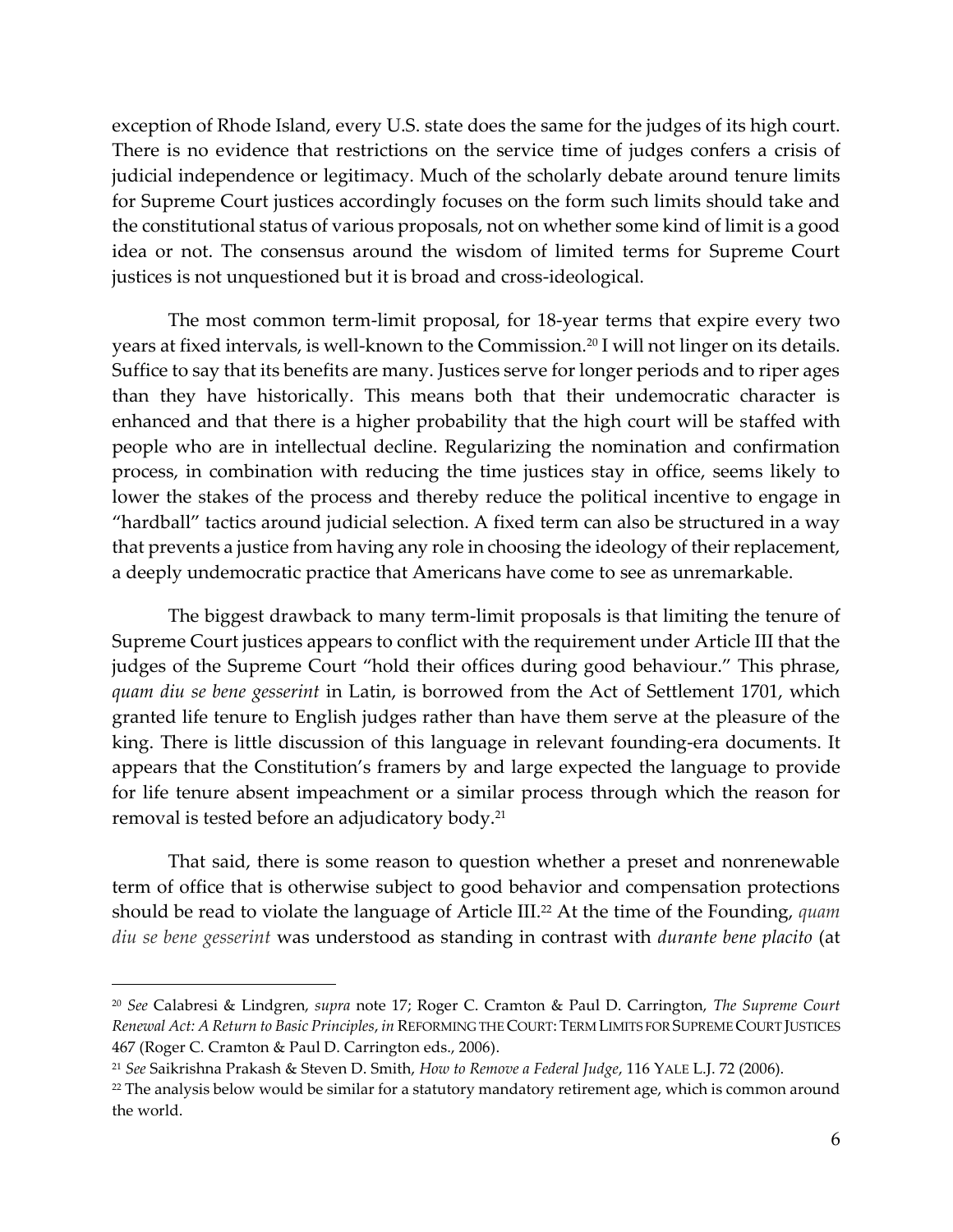exception of Rhode Island, every U.S. state does the same for the judges of its high court. There is no evidence that restrictions on the service time of judges confers a crisis of judicial independence or legitimacy. Much of the scholarly debate around tenure limits for Supreme Court justices accordingly focuses on the form such limits should take and the constitutional status of various proposals, not on whether some kind of limit is a good idea or not. The consensus around the wisdom of limited terms for Supreme Court justices is not unquestioned but it is broad and cross-ideological.

The most common term-limit proposal, for 18-year terms that expire every two years at fixed intervals, is well-known to the Commission.<sup>20</sup> I will not linger on its details. Suffice to say that its benefits are many. Justices serve for longer periods and to riper ages than they have historically. This means both that their undemocratic character is enhanced and that there is a higher probability that the high court will be staffed with people who are in intellectual decline. Regularizing the nomination and confirmation process, in combination with reducing the time justices stay in office, seems likely to lower the stakes of the process and thereby reduce the political incentive to engage in "hardball" tactics around judicial selection. A fixed term can also be structured in a way that prevents a justice from having any role in choosing the ideology of their replacement, a deeply undemocratic practice that Americans have come to see as unremarkable.

The biggest drawback to many term-limit proposals is that limiting the tenure of Supreme Court justices appears to conflict with the requirement under Article III that the judges of the Supreme Court "hold their offices during good behaviour." This phrase, *quam diu se bene gesserint* in Latin, is borrowed from the Act of Settlement 1701, which granted life tenure to English judges rather than have them serve at the pleasure of the king. There is little discussion of this language in relevant founding-era documents. It appears that the Constitution's framers by and large expected the language to provide for life tenure absent impeachment or a similar process through which the reason for removal is tested before an adjudicatory body.<sup>21</sup>

That said, there is some reason to question whether a preset and nonrenewable term of office that is otherwise subject to good behavior and compensation protections should be read to violate the language of Article III.<sup>22</sup> At the time of the Founding, *quam diu se bene gesserint* was understood as standing in contrast with *durante bene placito* (at

<sup>20</sup> *See* Calabresi & Lindgren, *supra* note [17;](#page-4-0) Roger C. Cramton & Paul D. Carrington, *The Supreme Court Renewal Act: A Return to Basic Principles*, *in* REFORMING THE COURT: TERM LIMITS FOR SUPREME COURT JUSTICES 467 (Roger C. Cramton & Paul D. Carrington eds., 2006).

<sup>21</sup> *See* Saikrishna Prakash & Steven D. Smith, *How to Remove a Federal Judge*, 116 YALE L.J. 72 (2006).

<sup>&</sup>lt;sup>22</sup> The analysis below would be similar for a statutory mandatory retirement age, which is common around the world.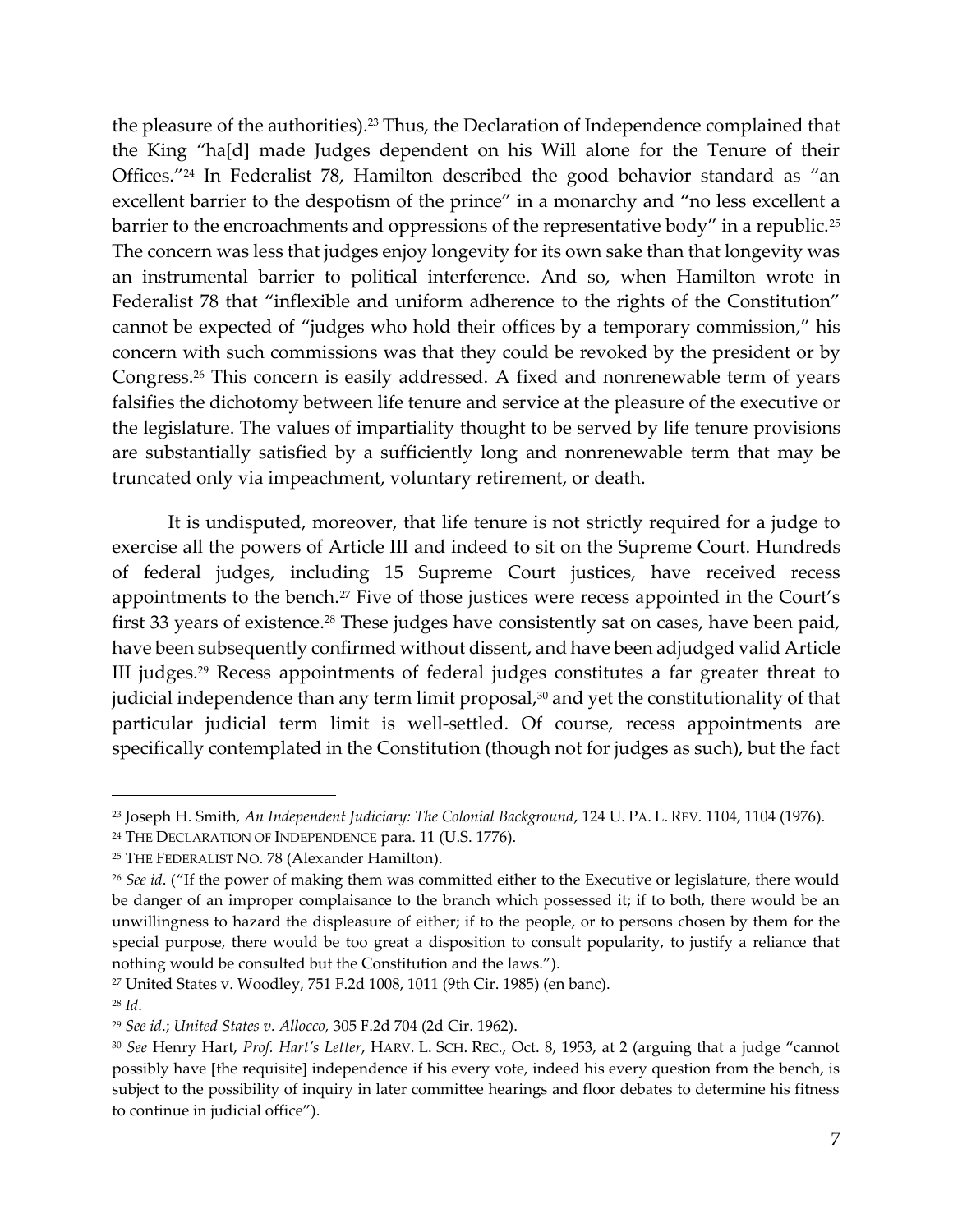the pleasure of the authorities). <sup>23</sup> Thus, the Declaration of Independence complained that the King "ha[d] made Judges dependent on his Will alone for the Tenure of their Offices."<sup>24</sup> In Federalist 78, Hamilton described the good behavior standard as "an excellent barrier to the despotism of the prince" in a monarchy and "no less excellent a barrier to the encroachments and oppressions of the representative body" in a republic.<sup>25</sup> The concern was less that judges enjoy longevity for its own sake than that longevity was an instrumental barrier to political interference. And so, when Hamilton wrote in Federalist 78 that "inflexible and uniform adherence to the rights of the Constitution" cannot be expected of "judges who hold their offices by a temporary commission," his concern with such commissions was that they could be revoked by the president or by Congress.<sup>26</sup> This concern is easily addressed. A fixed and nonrenewable term of years falsifies the dichotomy between life tenure and service at the pleasure of the executive or the legislature. The values of impartiality thought to be served by life tenure provisions are substantially satisfied by a sufficiently long and nonrenewable term that may be truncated only via impeachment, voluntary retirement, or death.

It is undisputed, moreover, that life tenure is not strictly required for a judge to exercise all the powers of Article III and indeed to sit on the Supreme Court. Hundreds of federal judges, including 15 Supreme Court justices, have received recess appointments to the bench.<sup>27</sup> Five of those justices were recess appointed in the Court's first 33 years of existence. <sup>28</sup> These judges have consistently sat on cases, have been paid, have been subsequently confirmed without dissent, and have been adjudged valid Article III judges.<sup>29</sup> Recess appointments of federal judges constitutes a far greater threat to judicial independence than any term limit proposal, $30$  and yet the constitutionality of that particular judicial term limit is well-settled. Of course, recess appointments are specifically contemplated in the Constitution (though not for judges as such), but the fact

<sup>23</sup> Joseph H. Smith, *An Independent Judiciary: The Colonial Background*, 124 U. PA. L. REV. 1104, 1104 (1976).

<sup>&</sup>lt;sup>24</sup> THE DECLARATION OF INDEPENDENCE para. 11 (U.S. 1776).

<sup>25</sup> THE FEDERALIST NO. 78 (Alexander Hamilton).

<sup>26</sup> *See id*. ("If the power of making them was committed either to the Executive or legislature, there would be danger of an improper complaisance to the branch which possessed it; if to both, there would be an unwillingness to hazard the displeasure of either; if to the people, or to persons chosen by them for the special purpose, there would be too great a disposition to consult popularity, to justify a reliance that nothing would be consulted but the Constitution and the laws.").

<sup>27</sup> United States v. Woodley, 751 F.2d 1008, 1011 (9th Cir. 1985) (en banc).

<sup>28</sup> *Id*.

<sup>29</sup> *See id*.; *United States v. Allocco,* 305 F.2d 704 (2d Cir. 1962).

<sup>30</sup> *See* Henry Hart, *Prof. Hart's Letter*, HARV. L. SCH. REC., Oct. 8, 1953, at 2 (arguing that a judge "cannot possibly have [the requisite] independence if his every vote, indeed his every question from the bench, is subject to the possibility of inquiry in later committee hearings and floor debates to determine his fitness to continue in judicial office").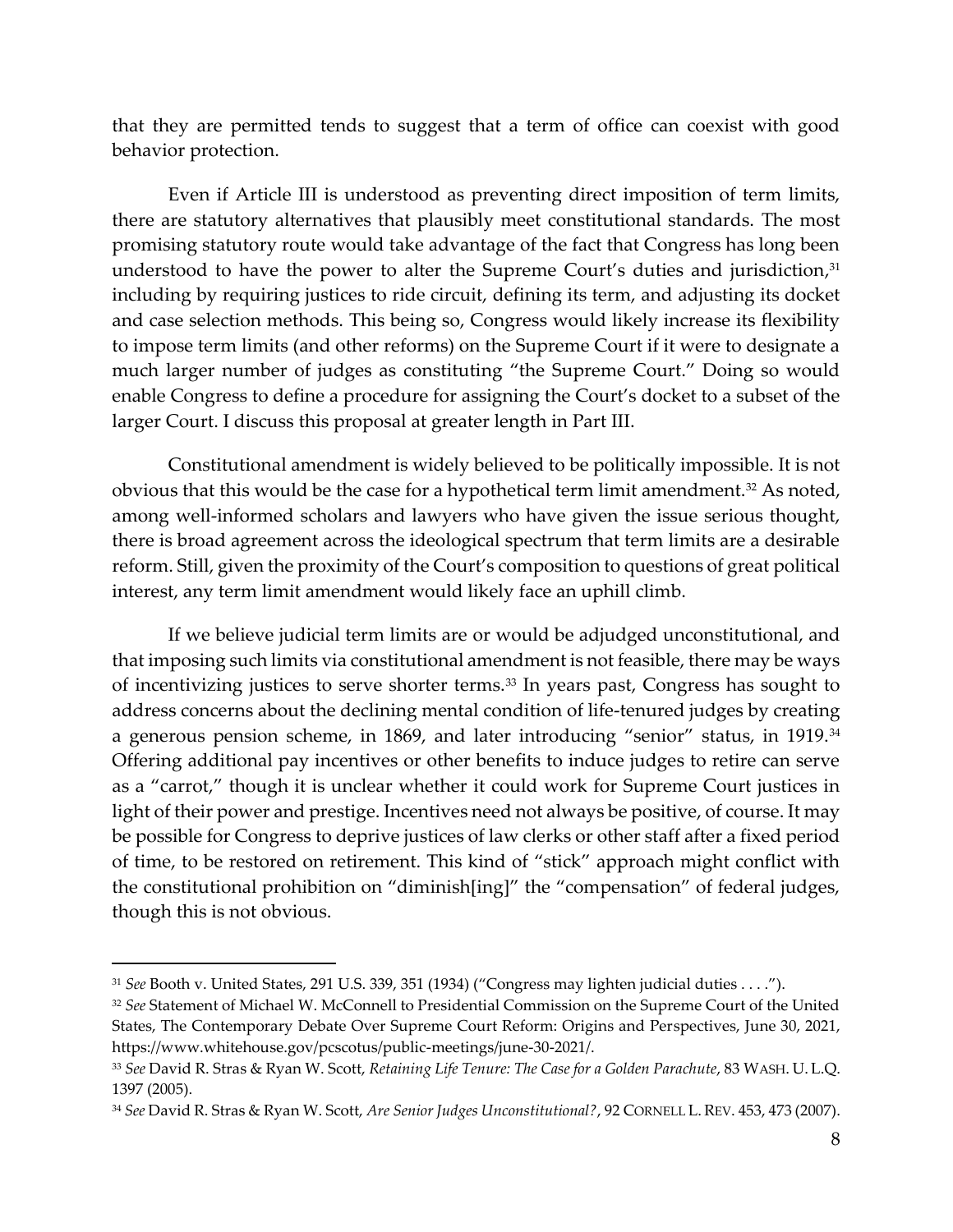that they are permitted tends to suggest that a term of office can coexist with good behavior protection.

Even if Article III is understood as preventing direct imposition of term limits, there are statutory alternatives that plausibly meet constitutional standards. The most promising statutory route would take advantage of the fact that Congress has long been understood to have the power to alter the Supreme Court's duties and jurisdiction, 31 including by requiring justices to ride circuit, defining its term, and adjusting its docket and case selection methods. This being so, Congress would likely increase its flexibility to impose term limits (and other reforms) on the Supreme Court if it were to designate a much larger number of judges as constituting "the Supreme Court." Doing so would enable Congress to define a procedure for assigning the Court's docket to a subset of the larger Court. I discuss this proposal at greater length in Part III.

<span id="page-7-0"></span>Constitutional amendment is widely believed to be politically impossible. It is not obvious that this would be the case for a hypothetical term limit amendment.<sup>32</sup> As noted, among well-informed scholars and lawyers who have given the issue serious thought, there is broad agreement across the ideological spectrum that term limits are a desirable reform. Still, given the proximity of the Court's composition to questions of great political interest, any term limit amendment would likely face an uphill climb.

<span id="page-7-1"></span>If we believe judicial term limits are or would be adjudged unconstitutional, and that imposing such limits via constitutional amendment is not feasible, there may be ways of incentivizing justices to serve shorter terms.<sup>33</sup> In years past, Congress has sought to address concerns about the declining mental condition of life-tenured judges by creating a generous pension scheme, in 1869, and later introducing "senior" status, in 1919.<sup>34</sup> Offering additional pay incentives or other benefits to induce judges to retire can serve as a "carrot," though it is unclear whether it could work for Supreme Court justices in light of their power and prestige. Incentives need not always be positive, of course. It may be possible for Congress to deprive justices of law clerks or other staff after a fixed period of time, to be restored on retirement. This kind of "stick" approach might conflict with the constitutional prohibition on "diminish[ing]" the "compensation" of federal judges, though this is not obvious.

<sup>31</sup> *See* Booth v. United States, 291 U.S. 339, 351 (1934) ("Congress may lighten judicial duties . . . .").

<sup>32</sup> *See* Statement of Michael W. McConnell to Presidential Commission on the Supreme Court of the United States, The Contemporary Debate Over Supreme Court Reform: Origins and Perspectives, June 30, 2021, https://www.whitehouse.gov/pcscotus/public-meetings/june-30-2021/.

<sup>33</sup> *See* David R. Stras & Ryan W. Scott, *Retaining Life Tenure: The Case for a Golden Parachute*, 83 WASH. U. L.Q. 1397 (2005).

<sup>34</sup> *See* David R. Stras & Ryan W. Scott, *Are Senior Judges Unconstitutional?*, 92 CORNELL L. REV. 453, 473 (2007).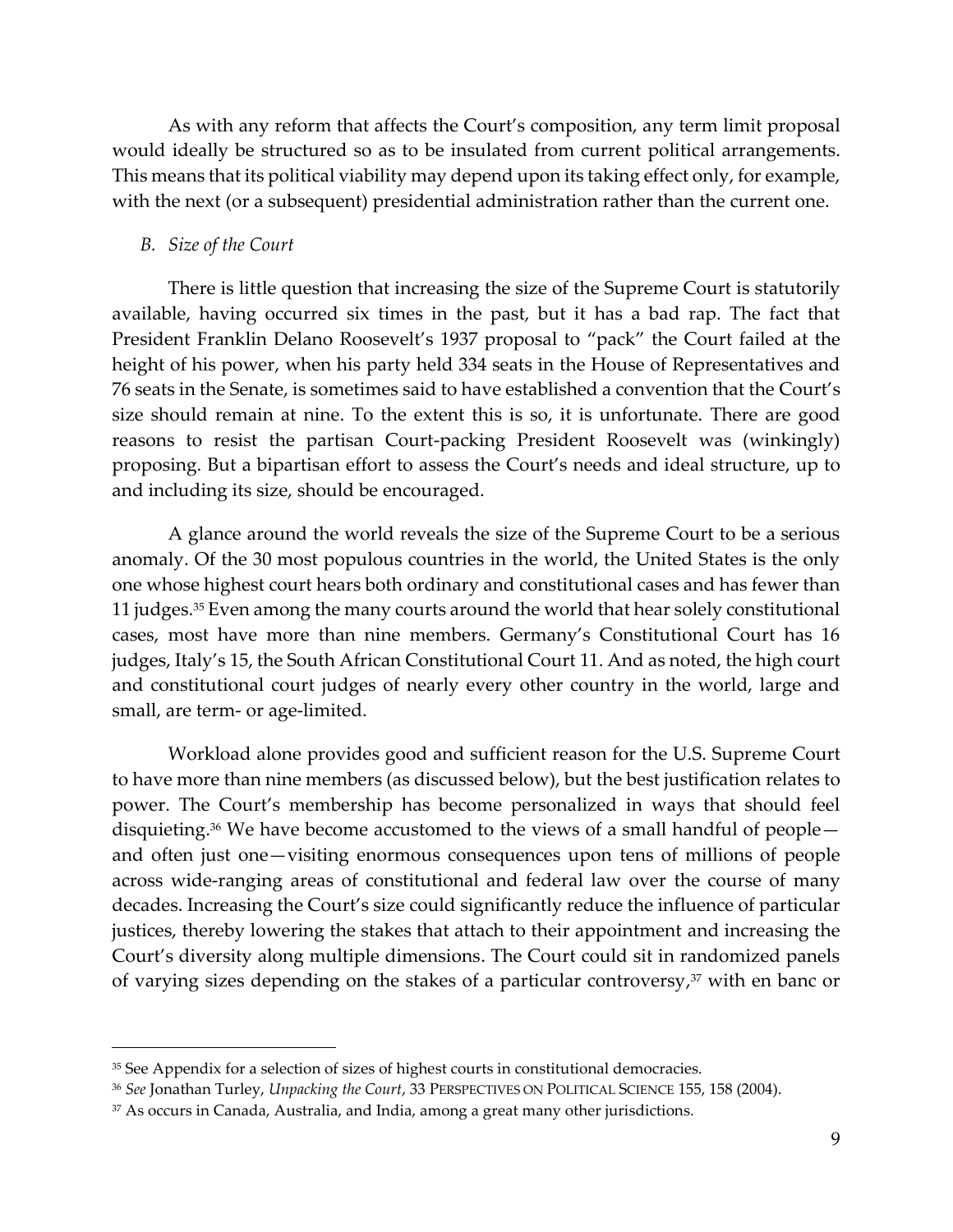As with any reform that affects the Court's composition, any term limit proposal would ideally be structured so as to be insulated from current political arrangements. This means that its political viability may depend upon its taking effect only, for example, with the next (or a subsequent) presidential administration rather than the current one.

#### *B. Size of the Court*

There is little question that increasing the size of the Supreme Court is statutorily available, having occurred six times in the past, but it has a bad rap. The fact that President Franklin Delano Roosevelt's 1937 proposal to "pack" the Court failed at the height of his power, when his party held 334 seats in the House of Representatives and 76 seats in the Senate, is sometimes said to have established a convention that the Court's size should remain at nine. To the extent this is so, it is unfortunate. There are good reasons to resist the partisan Court-packing President Roosevelt was (winkingly) proposing. But a bipartisan effort to assess the Court's needs and ideal structure, up to and including its size, should be encouraged.

A glance around the world reveals the size of the Supreme Court to be a serious anomaly. Of the 30 most populous countries in the world, the United States is the only one whose highest court hears both ordinary and constitutional cases and has fewer than 11 judges.<sup>35</sup> Even among the many courts around the world that hear solely constitutional cases, most have more than nine members. Germany's Constitutional Court has 16 judges, Italy's 15, the South African Constitutional Court 11. And as noted, the high court and constitutional court judges of nearly every other country in the world, large and small, are term- or age-limited.

Workload alone provides good and sufficient reason for the U.S. Supreme Court to have more than nine members (as discussed below), but the best justification relates to power. The Court's membership has become personalized in ways that should feel disquieting. <sup>36</sup> We have become accustomed to the views of a small handful of people and often just one—visiting enormous consequences upon tens of millions of people across wide-ranging areas of constitutional and federal law over the course of many decades. Increasing the Court's size could significantly reduce the influence of particular justices, thereby lowering the stakes that attach to their appointment and increasing the Court's diversity along multiple dimensions. The Court could sit in randomized panels of varying sizes depending on the stakes of a particular controversy, <sup>37</sup> with en banc or

<sup>&</sup>lt;sup>35</sup> See Appendix for a selection of sizes of highest courts in constitutional democracies.

<sup>36</sup> *See* Jonathan Turley, *Unpacking the Court*, 33 PERSPECTIVES ON POLITICAL SCIENCE 155, 158 (2004).

<sup>37</sup> As occurs in Canada, Australia, and India, among a great many other jurisdictions.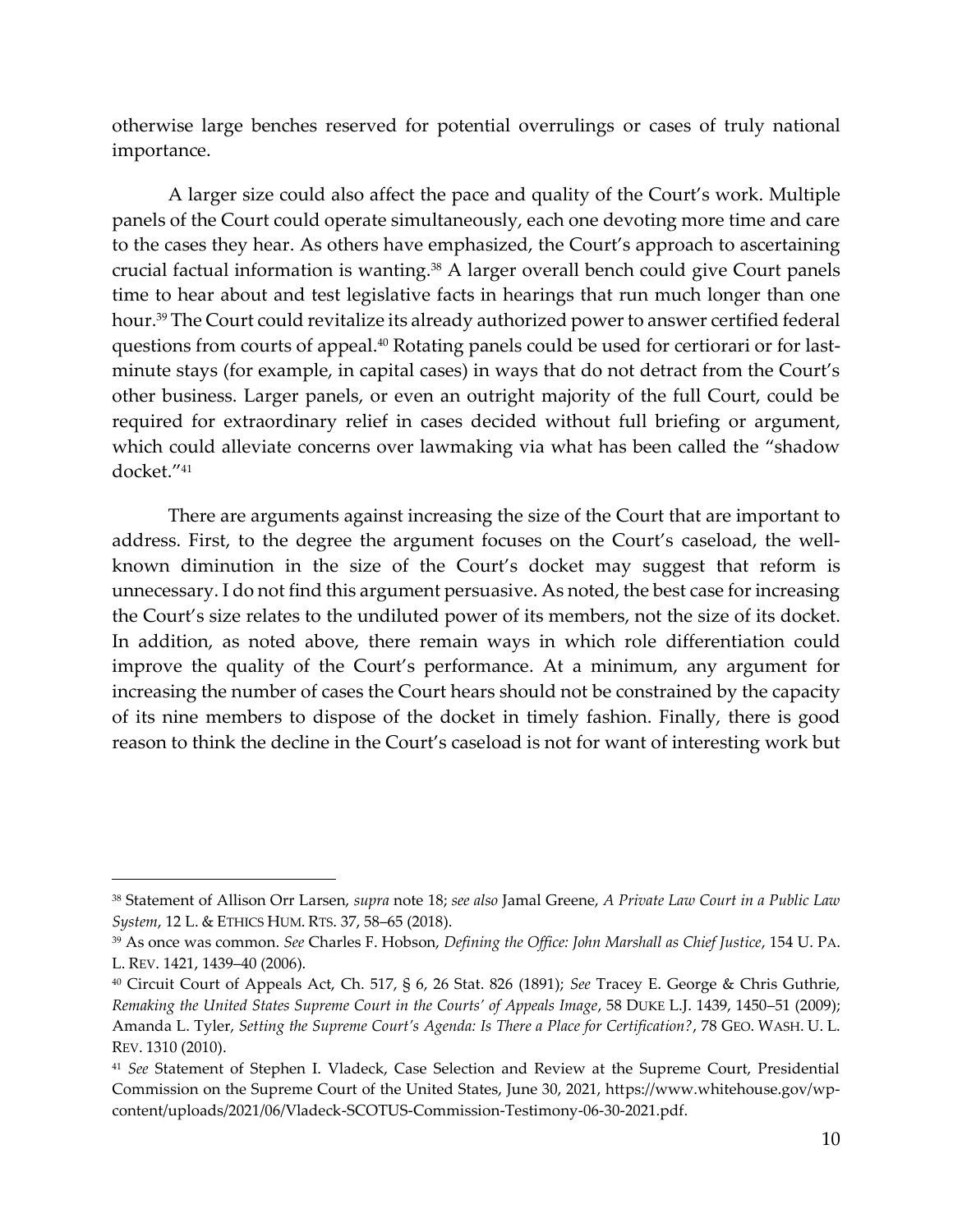otherwise large benches reserved for potential overrulings or cases of truly national importance.

A larger size could also affect the pace and quality of the Court's work. Multiple panels of the Court could operate simultaneously, each one devoting more time and care to the cases they hear. As others have emphasized, the Court's approach to ascertaining crucial factual information is wanting.<sup>38</sup> A larger overall bench could give Court panels time to hear about and test legislative facts in hearings that run much longer than one hour.<sup>39</sup> The Court could revitalize its already authorized power to answer certified federal questions from courts of appeal.<sup>40</sup> Rotating panels could be used for certiorari or for lastminute stays (for example, in capital cases) in ways that do not detract from the Court's other business. Larger panels, or even an outright majority of the full Court, could be required for extraordinary relief in cases decided without full briefing or argument, which could alleviate concerns over lawmaking via what has been called the "shadow docket."<sup>41</sup>

There are arguments against increasing the size of the Court that are important to address. First, to the degree the argument focuses on the Court's caseload, the wellknown diminution in the size of the Court's docket may suggest that reform is unnecessary. I do not find this argument persuasive. As noted, the best case for increasing the Court's size relates to the undiluted power of its members, not the size of its docket. In addition, as noted above, there remain ways in which role differentiation could improve the quality of the Court's performance. At a minimum, any argument for increasing the number of cases the Court hears should not be constrained by the capacity of its nine members to dispose of the docket in timely fashion. Finally, there is good reason to think the decline in the Court's caseload is not for want of interesting work but

<sup>38</sup> Statement of Allison Orr Larsen, *supra* note [18;](#page-4-1) *see also* Jamal Greene, *A Private Law Court in a Public Law System*, 12 L. & ETHICS HUM. RTS. 37, 58–65 (2018).

<sup>39</sup> As once was common. *See* Charles F. Hobson, *Defining the Office: John Marshall as Chief Justice*, 154 U. PA. L. REV. 1421, 1439–40 (2006).

<sup>40</sup> Circuit Court of Appeals Act, Ch. 517, § 6, 26 Stat. 826 (1891); *See* Tracey E. George & Chris Guthrie, *Remaking the United States Supreme Court in the Courts' of Appeals Image*, 58 DUKE L.J. 1439, 1450–51 (2009); Amanda L. Tyler, *Setting the Supreme Court's Agenda: Is There a Place for Certification?*, 78 GEO. WASH. U. L. REV. 1310 (2010).

<sup>41</sup> *See* Statement of Stephen I. Vladeck, Case Selection and Review at the Supreme Court, Presidential Commission on the Supreme Court of the United States, June 30, 2021, https://www.whitehouse.gov/wpcontent/uploads/2021/06/Vladeck-SCOTUS-Commission-Testimony-06-30-2021.pdf.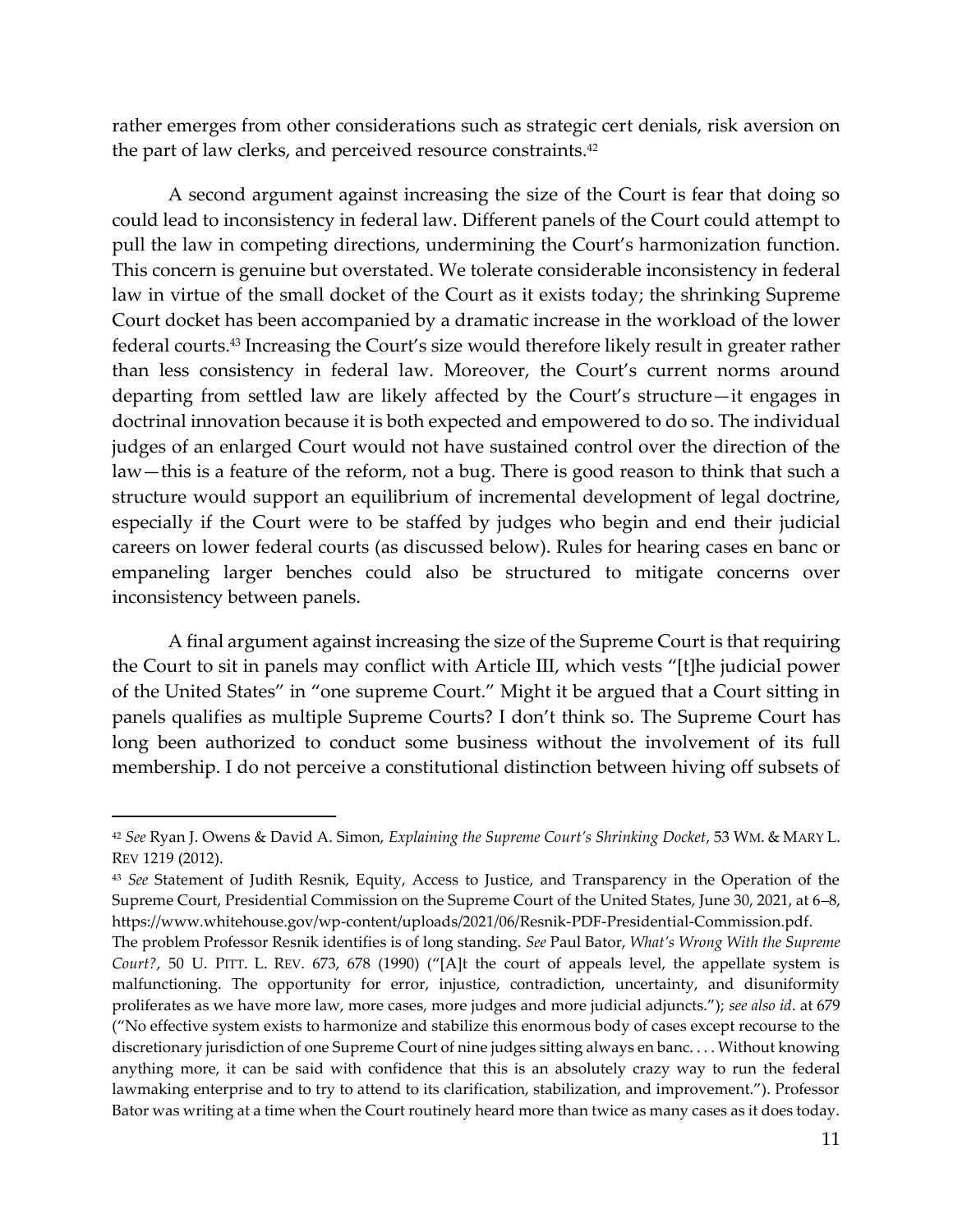rather emerges from other considerations such as strategic cert denials, risk aversion on the part of law clerks, and perceived resource constraints. 42

A second argument against increasing the size of the Court is fear that doing so could lead to inconsistency in federal law. Different panels of the Court could attempt to pull the law in competing directions, undermining the Court's harmonization function. This concern is genuine but overstated. We tolerate considerable inconsistency in federal law in virtue of the small docket of the Court as it exists today; the shrinking Supreme Court docket has been accompanied by a dramatic increase in the workload of the lower federal courts. <sup>43</sup> Increasing the Court's size would therefore likely result in greater rather than less consistency in federal law. Moreover, the Court's current norms around departing from settled law are likely affected by the Court's structure—it engages in doctrinal innovation because it is both expected and empowered to do so. The individual judges of an enlarged Court would not have sustained control over the direction of the law—this is a feature of the reform, not a bug. There is good reason to think that such a structure would support an equilibrium of incremental development of legal doctrine, especially if the Court were to be staffed by judges who begin and end their judicial careers on lower federal courts (as discussed below). Rules for hearing cases en banc or empaneling larger benches could also be structured to mitigate concerns over inconsistency between panels.

A final argument against increasing the size of the Supreme Court is that requiring the Court to sit in panels may conflict with Article III, which vests "[t]he judicial power of the United States" in "one supreme Court." Might it be argued that a Court sitting in panels qualifies as multiple Supreme Courts? I don't think so. The Supreme Court has long been authorized to conduct some business without the involvement of its full membership. I do not perceive a constitutional distinction between hiving off subsets of

<sup>42</sup> *See* Ryan J. Owens & David A. Simon, *Explaining the Supreme Court's Shrinking Docket*, 53 WM. & MARY L. REV 1219 (2012).

<sup>43</sup> *See* Statement of Judith Resnik, Equity, Access to Justice, and Transparency in the Operation of the Supreme Court, Presidential Commission on the Supreme Court of the United States, June 30, 2021, at 6–8, https://www.whitehouse.gov/wp-content/uploads/2021/06/Resnik-PDF-Presidential-Commission.pdf.

The problem Professor Resnik identifies is of long standing. *See* Paul Bator, *What's Wrong With the Supreme Court?*, 50 U. PITT. L. REV. 673, 678 (1990) ("[A]t the court of appeals level, the appellate system is malfunctioning. The opportunity for error, injustice, contradiction, uncertainty, and disuniformity proliferates as we have more law, more cases, more judges and more judicial adjuncts."); *see also id*. at 679 ("No effective system exists to harmonize and stabilize this enormous body of cases except recourse to the discretionary jurisdiction of one Supreme Court of nine judges sitting always en banc. . . . Without knowing anything more, it can be said with confidence that this is an absolutely crazy way to run the federal lawmaking enterprise and to try to attend to its clarification, stabilization, and improvement."). Professor Bator was writing at a time when the Court routinely heard more than twice as many cases as it does today.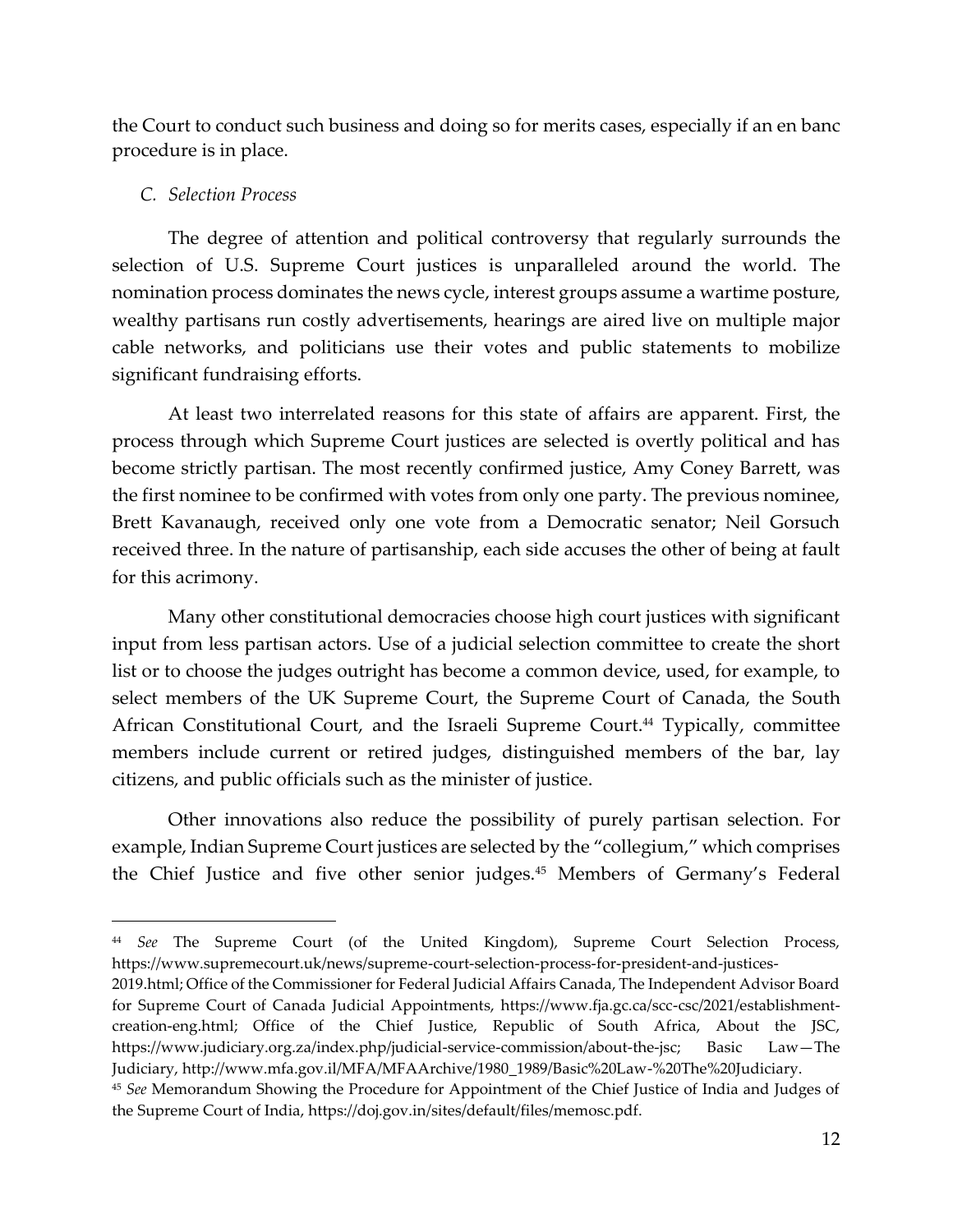the Court to conduct such business and doing so for merits cases, especially if an en banc procedure is in place.

## *C. Selection Process*

The degree of attention and political controversy that regularly surrounds the selection of U.S. Supreme Court justices is unparalleled around the world. The nomination process dominates the news cycle, interest groups assume a wartime posture, wealthy partisans run costly advertisements, hearings are aired live on multiple major cable networks, and politicians use their votes and public statements to mobilize significant fundraising efforts.

At least two interrelated reasons for this state of affairs are apparent. First, the process through which Supreme Court justices are selected is overtly political and has become strictly partisan. The most recently confirmed justice, Amy Coney Barrett, was the first nominee to be confirmed with votes from only one party. The previous nominee, Brett Kavanaugh, received only one vote from a Democratic senator; Neil Gorsuch received three. In the nature of partisanship, each side accuses the other of being at fault for this acrimony.

Many other constitutional democracies choose high court justices with significant input from less partisan actors. Use of a judicial selection committee to create the short list or to choose the judges outright has become a common device, used, for example, to select members of the UK Supreme Court, the Supreme Court of Canada, the South African Constitutional Court, and the Israeli Supreme Court.<sup>44</sup> Typically, committee members include current or retired judges, distinguished members of the bar, lay citizens, and public officials such as the minister of justice.

Other innovations also reduce the possibility of purely partisan selection. For example, Indian Supreme Court justices are selected by the "collegium," which comprises the Chief Justice and five other senior judges.<sup>45</sup> Members of Germany's Federal

<sup>44</sup> *See* The Supreme Court (of the United Kingdom), Supreme Court Selection Process, https://www.supremecourt.uk/news/supreme-court-selection-process-for-president-and-justices-

<sup>2019.</sup>html; Office of the Commissioner for Federal Judicial Affairs Canada, The Independent Advisor Board for Supreme Court of Canada Judicial Appointments, https://www.fja.gc.ca/scc-csc/2021/establishmentcreation-eng.html; Office of the Chief Justice, Republic of South Africa, About the JSC, https://www.judiciary.org.za/index.php/judicial-service-commission/about-the-jsc; Basic Law—The Judiciary, http://www.mfa.gov.il/MFA/MFAArchive/1980\_1989/Basic%20Law-%20The%20Judiciary.

<sup>45</sup> *See* Memorandum Showing the Procedure for Appointment of the Chief Justice of India and Judges of the Supreme Court of India, https://doj.gov.in/sites/default/files/memosc.pdf.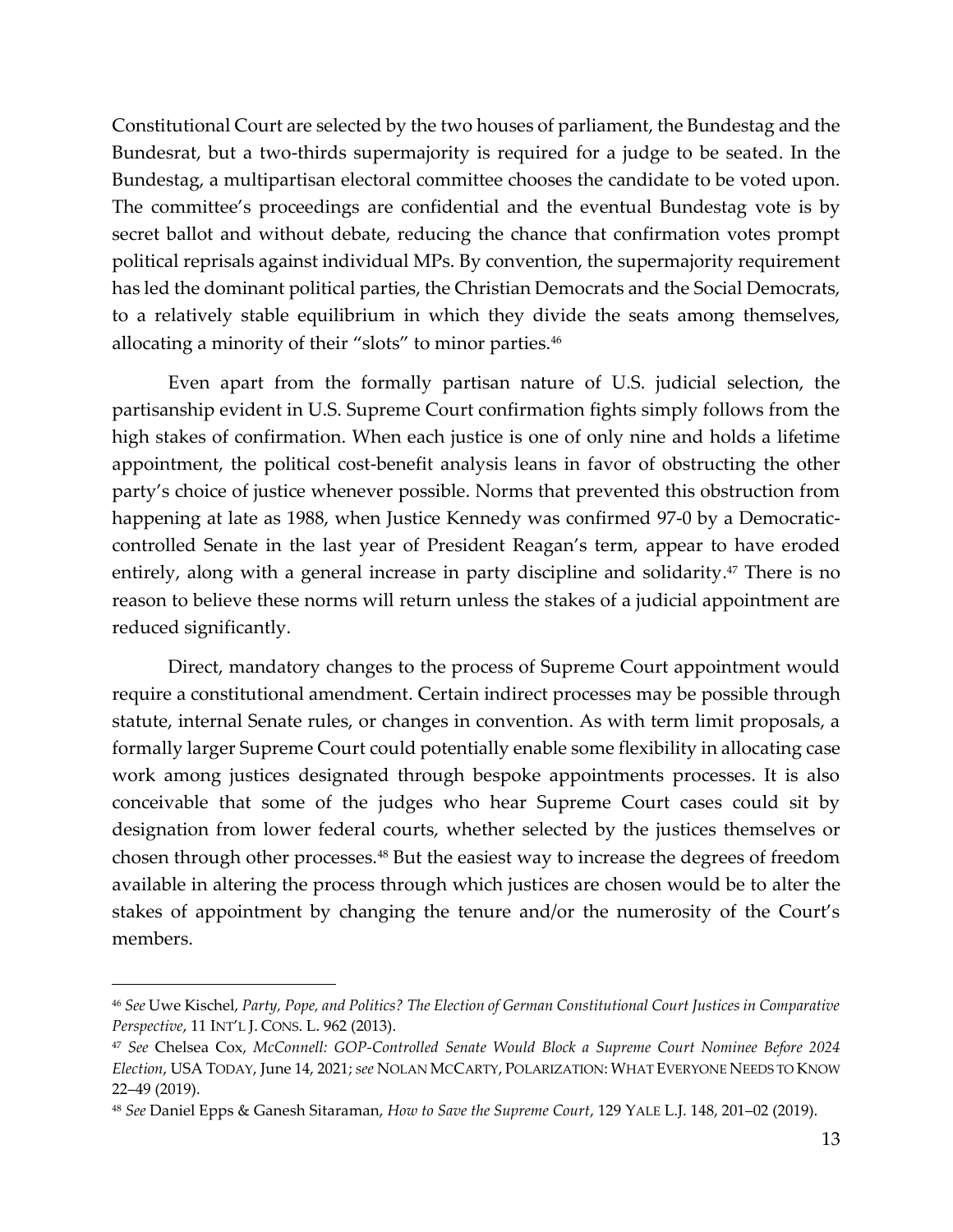Constitutional Court are selected by the two houses of parliament, the Bundestag and the Bundesrat, but a two-thirds supermajority is required for a judge to be seated. In the Bundestag, a multipartisan electoral committee chooses the candidate to be voted upon. The committee's proceedings are confidential and the eventual Bundestag vote is by secret ballot and without debate, reducing the chance that confirmation votes prompt political reprisals against individual MPs. By convention, the supermajority requirement has led the dominant political parties, the Christian Democrats and the Social Democrats, to a relatively stable equilibrium in which they divide the seats among themselves, allocating a minority of their "slots" to minor parties.<sup>46</sup>

Even apart from the formally partisan nature of U.S. judicial selection, the partisanship evident in U.S. Supreme Court confirmation fights simply follows from the high stakes of confirmation. When each justice is one of only nine and holds a lifetime appointment, the political cost-benefit analysis leans in favor of obstructing the other party's choice of justice whenever possible. Norms that prevented this obstruction from happening at late as 1988, when Justice Kennedy was confirmed 97-0 by a Democraticcontrolled Senate in the last year of President Reagan's term, appear to have eroded entirely, along with a general increase in party discipline and solidarity. <sup>47</sup> There is no reason to believe these norms will return unless the stakes of a judicial appointment are reduced significantly.

Direct, mandatory changes to the process of Supreme Court appointment would require a constitutional amendment. Certain indirect processes may be possible through statute, internal Senate rules, or changes in convention. As with term limit proposals, a formally larger Supreme Court could potentially enable some flexibility in allocating case work among justices designated through bespoke appointments processes. It is also conceivable that some of the judges who hear Supreme Court cases could sit by designation from lower federal courts, whether selected by the justices themselves or chosen through other processes.<sup>48</sup> But the easiest way to increase the degrees of freedom available in altering the process through which justices are chosen would be to alter the stakes of appointment by changing the tenure and/or the numerosity of the Court's members.

<span id="page-12-0"></span><sup>46</sup> *See* Uwe Kischel, *Party, Pope, and Politics? The Election of German Constitutional Court Justices in Comparative Perspective*, 11 INT'L J. CONS. L. 962 (2013).

<sup>47</sup> *See* Chelsea Cox, *McConnell: GOP-Controlled Senate Would Block a Supreme Court Nominee Before 2024 Election*, USA TODAY, June 14, 2021; *see* NOLAN MCCARTY, POLARIZATION: WHAT EVERYONE NEEDS TO KNOW 22–49 (2019).

<sup>48</sup> *See* Daniel Epps & Ganesh Sitaraman, *How to Save the Supreme Court*, 129 YALE L.J. 148, 201–02 (2019).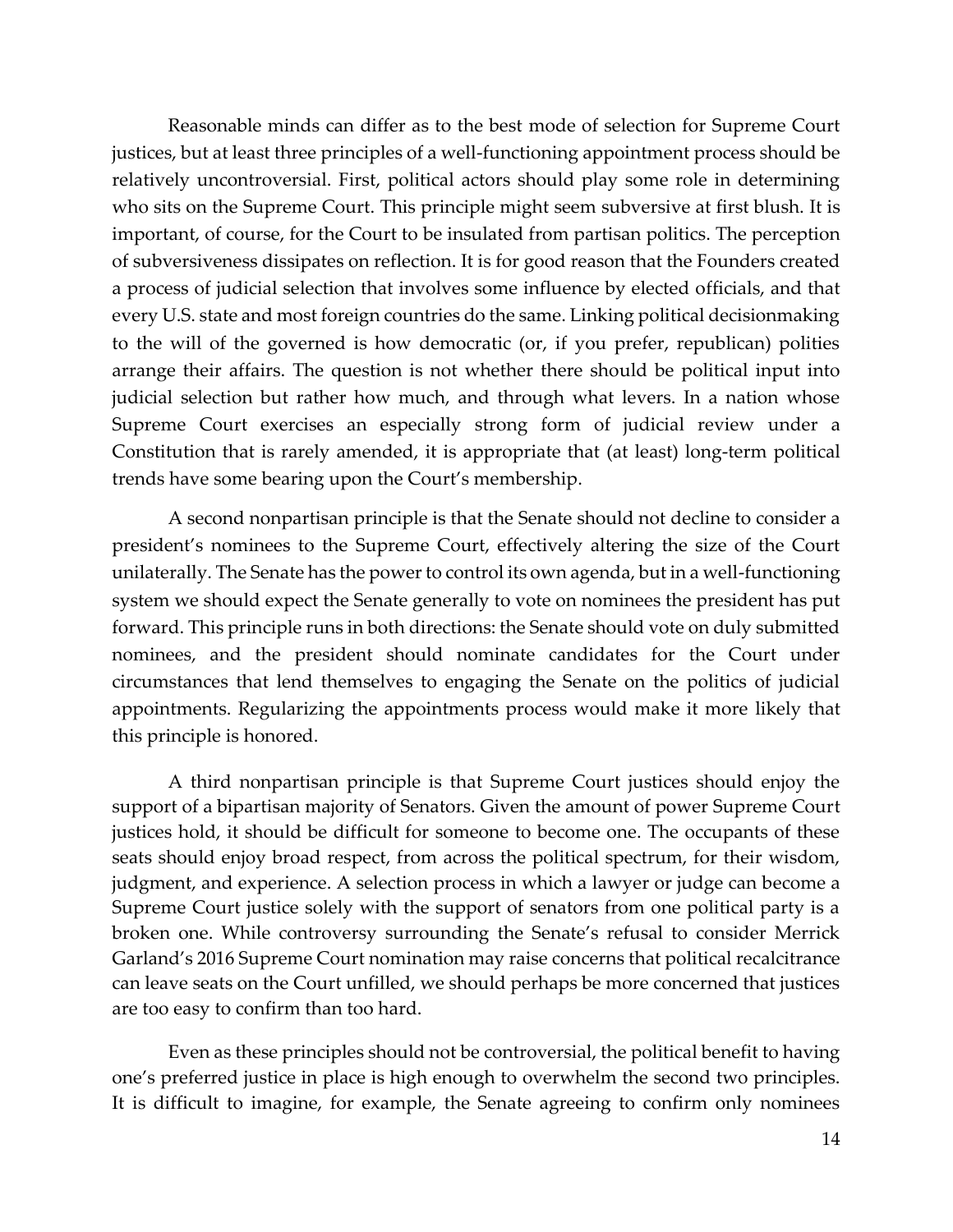Reasonable minds can differ as to the best mode of selection for Supreme Court justices, but at least three principles of a well-functioning appointment process should be relatively uncontroversial. First, political actors should play some role in determining who sits on the Supreme Court. This principle might seem subversive at first blush. It is important, of course, for the Court to be insulated from partisan politics. The perception of subversiveness dissipates on reflection. It is for good reason that the Founders created a process of judicial selection that involves some influence by elected officials, and that every U.S. state and most foreign countries do the same. Linking political decisionmaking to the will of the governed is how democratic (or, if you prefer, republican) polities arrange their affairs. The question is not whether there should be political input into judicial selection but rather how much, and through what levers. In a nation whose Supreme Court exercises an especially strong form of judicial review under a Constitution that is rarely amended, it is appropriate that (at least) long-term political trends have some bearing upon the Court's membership.

A second nonpartisan principle is that the Senate should not decline to consider a president's nominees to the Supreme Court, effectively altering the size of the Court unilaterally. The Senate has the power to control its own agenda, but in a well-functioning system we should expect the Senate generally to vote on nominees the president has put forward. This principle runs in both directions: the Senate should vote on duly submitted nominees, and the president should nominate candidates for the Court under circumstances that lend themselves to engaging the Senate on the politics of judicial appointments. Regularizing the appointments process would make it more likely that this principle is honored.

A third nonpartisan principle is that Supreme Court justices should enjoy the support of a bipartisan majority of Senators. Given the amount of power Supreme Court justices hold, it should be difficult for someone to become one. The occupants of these seats should enjoy broad respect, from across the political spectrum, for their wisdom, judgment, and experience. A selection process in which a lawyer or judge can become a Supreme Court justice solely with the support of senators from one political party is a broken one. While controversy surrounding the Senate's refusal to consider Merrick Garland's 2016 Supreme Court nomination may raise concerns that political recalcitrance can leave seats on the Court unfilled, we should perhaps be more concerned that justices are too easy to confirm than too hard.

Even as these principles should not be controversial, the political benefit to having one's preferred justice in place is high enough to overwhelm the second two principles. It is difficult to imagine, for example, the Senate agreeing to confirm only nominees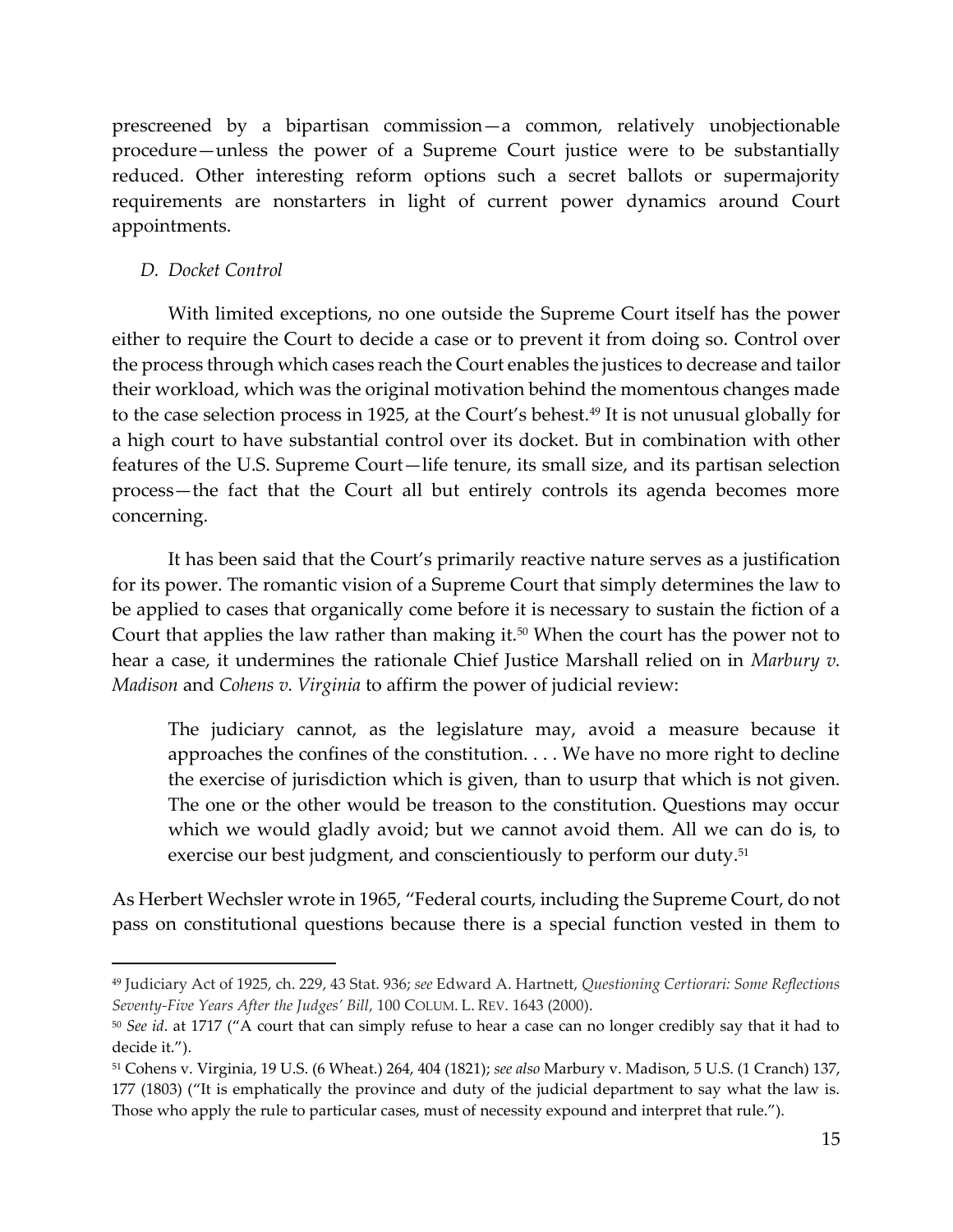prescreened by a bipartisan commission—a common, relatively unobjectionable procedure—unless the power of a Supreme Court justice were to be substantially reduced. Other interesting reform options such a secret ballots or supermajority requirements are nonstarters in light of current power dynamics around Court appointments.

## *D. Docket Control*

With limited exceptions, no one outside the Supreme Court itself has the power either to require the Court to decide a case or to prevent it from doing so. Control over the process through which cases reach the Court enables the justices to decrease and tailor their workload, which was the original motivation behind the momentous changes made to the case selection process in 1925, at the Court's behest.<sup>49</sup> It is not unusual globally for a high court to have substantial control over its docket. But in combination with other features of the U.S. Supreme Court—life tenure, its small size, and its partisan selection process—the fact that the Court all but entirely controls its agenda becomes more concerning.

It has been said that the Court's primarily reactive nature serves as a justification for its power. The romantic vision of a Supreme Court that simply determines the law to be applied to cases that organically come before it is necessary to sustain the fiction of a Court that applies the law rather than making it.<sup>50</sup> When the court has the power not to hear a case, it undermines the rationale Chief Justice Marshall relied on in *Marbury v. Madison* and *Cohens v. Virginia* to affirm the power of judicial review:

The judiciary cannot, as the legislature may, avoid a measure because it approaches the confines of the constitution. . . . We have no more right to decline the exercise of jurisdiction which is given, than to usurp that which is not given. The one or the other would be treason to the constitution. Questions may occur which we would gladly avoid; but we cannot avoid them. All we can do is, to exercise our best judgment, and conscientiously to perform our duty.<sup>51</sup>

As Herbert Wechsler wrote in 1965, "Federal courts, including the Supreme Court, do not pass on constitutional questions because there is a special function vested in them to

<sup>49</sup> Judiciary Act of 1925, ch. 229, 43 Stat. 936; *see* Edward A. Hartnett, *Questioning Certiorari: Some Reflections Seventy-Five Years After the Judges' Bill*, 100 COLUM. L. REV. 1643 (2000).

<sup>50</sup> *See id*. at 1717 ("A court that can simply refuse to hear a case can no longer credibly say that it had to decide it.").

<sup>51</sup> Cohens v. Virginia, 19 U.S. (6 Wheat.) 264, 404 (1821); *see also* Marbury v. Madison, 5 U.S. (1 Cranch) 137, 177 (1803) ("It is emphatically the province and duty of the judicial department to say what the law is. Those who apply the rule to particular cases, must of necessity expound and interpret that rule.").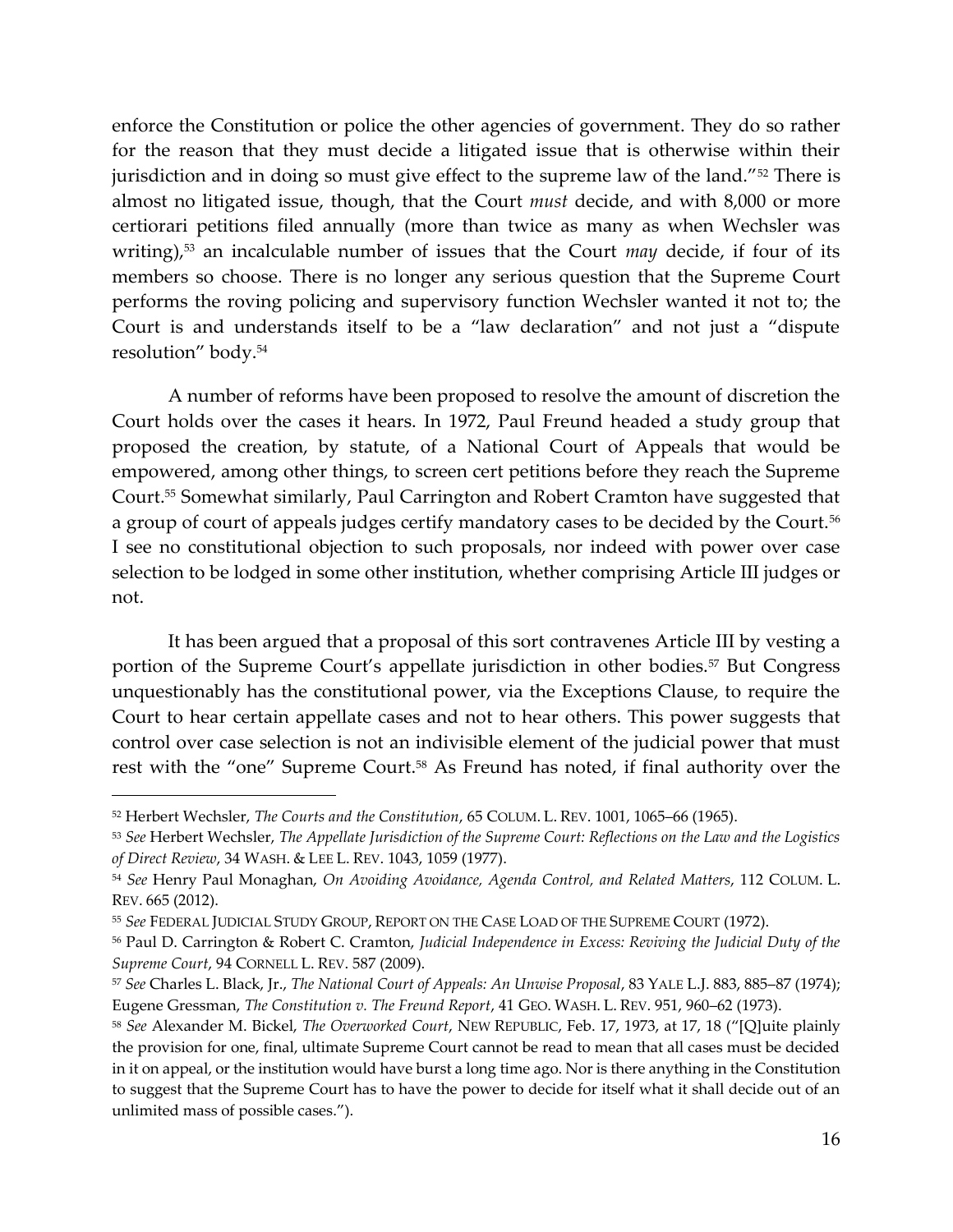enforce the Constitution or police the other agencies of government. They do so rather for the reason that they must decide a litigated issue that is otherwise within their jurisdiction and in doing so must give effect to the supreme law of the land."<sup>52</sup> There is almost no litigated issue, though, that the Court *must* decide, and with 8,000 or more certiorari petitions filed annually (more than twice as many as when Wechsler was writing), <sup>53</sup> an incalculable number of issues that the Court *may* decide, if four of its members so choose. There is no longer any serious question that the Supreme Court performs the roving policing and supervisory function Wechsler wanted it not to; the Court is and understands itself to be a "law declaration" and not just a "dispute resolution" body.<sup>54</sup>

A number of reforms have been proposed to resolve the amount of discretion the Court holds over the cases it hears. In 1972, Paul Freund headed a study group that proposed the creation, by statute, of a National Court of Appeals that would be empowered, among other things, to screen cert petitions before they reach the Supreme Court.<sup>55</sup> Somewhat similarly, Paul Carrington and Robert Cramton have suggested that a group of court of appeals judges certify mandatory cases to be decided by the Court.<sup>56</sup> I see no constitutional objection to such proposals, nor indeed with power over case selection to be lodged in some other institution, whether comprising Article III judges or not.

It has been argued that a proposal of this sort contravenes Article III by vesting a portion of the Supreme Court's appellate jurisdiction in other bodies.<sup>57</sup> But Congress unquestionably has the constitutional power, via the Exceptions Clause, to require the Court to hear certain appellate cases and not to hear others. This power suggests that control over case selection is not an indivisible element of the judicial power that must rest with the "one" Supreme Court.<sup>58</sup> As Freund has noted, if final authority over the

<sup>52</sup> Herbert Wechsler, *The Courts and the Constitution*, 65 COLUM. L. REV. 1001, 1065–66 (1965).

<sup>53</sup> *See* Herbert Wechsler, *The Appellate Jurisdiction of the Supreme Court: Reflections on the Law and the Logistics of Direct Review*, 34 WASH. & LEE L. REV. 1043, 1059 (1977).

<sup>54</sup> *See* Henry Paul Monaghan, *On Avoiding Avoidance, Agenda Control, and Related Matters*, 112 COLUM. L. REV. 665 (2012).

<sup>55</sup> *See* FEDERAL JUDICIAL STUDY GROUP, REPORT ON THE CASE LOAD OF THE SUPREME COURT (1972).

<sup>56</sup> Paul D. Carrington & Robert C. Cramton, *Judicial Independence in Excess: Reviving the Judicial Duty of the Supreme Court*, 94 CORNELL L. REV. 587 (2009).

<sup>57</sup> *See* Charles L. Black, Jr., *The National Court of Appeals: An Unwise Proposal*, 83 YALE L.J. 883, 885–87 (1974); Eugene Gressman, *The Constitution v. The Freund Report*, 41 GEO. WASH. L. REV. 951, 960–62 (1973).

<sup>58</sup> *See* Alexander M. Bickel, *The Overworked Court*, NEW REPUBLIC, Feb. 17, 1973, at 17, 18 ("[Q]uite plainly the provision for one, final, ultimate Supreme Court cannot be read to mean that all cases must be decided in it on appeal, or the institution would have burst a long time ago. Nor is there anything in the Constitution to suggest that the Supreme Court has to have the power to decide for itself what it shall decide out of an unlimited mass of possible cases.").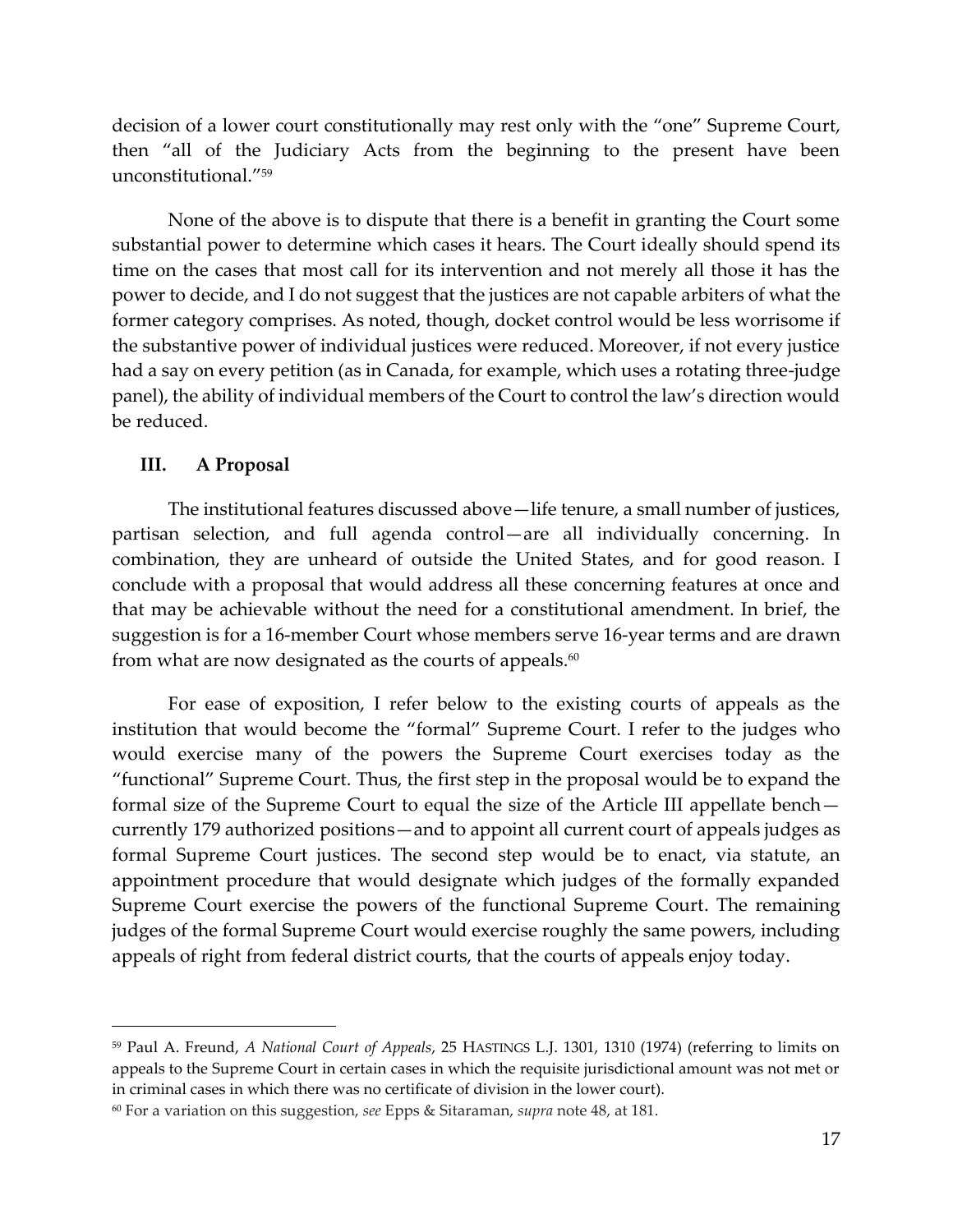decision of a lower court constitutionally may rest only with the "one" Supreme Court, then "all of the Judiciary Acts from the beginning to the present have been unconstitutional."<sup>59</sup>

None of the above is to dispute that there is a benefit in granting the Court some substantial power to determine which cases it hears. The Court ideally should spend its time on the cases that most call for its intervention and not merely all those it has the power to decide, and I do not suggest that the justices are not capable arbiters of what the former category comprises. As noted, though, docket control would be less worrisome if the substantive power of individual justices were reduced. Moreover, if not every justice had a say on every petition (as in Canada, for example, which uses a rotating three-judge panel), the ability of individual members of the Court to control the law's direction would be reduced.

## **III. A Proposal**

The institutional features discussed above—life tenure, a small number of justices, partisan selection, and full agenda control—are all individually concerning. In combination, they are unheard of outside the United States, and for good reason. I conclude with a proposal that would address all these concerning features at once and that may be achievable without the need for a constitutional amendment. In brief, the suggestion is for a 16-member Court whose members serve 16-year terms and are drawn from what are now designated as the courts of appeals. $^{60}$ 

For ease of exposition, I refer below to the existing courts of appeals as the institution that would become the "formal" Supreme Court. I refer to the judges who would exercise many of the powers the Supreme Court exercises today as the "functional" Supreme Court. Thus, the first step in the proposal would be to expand the formal size of the Supreme Court to equal the size of the Article III appellate bench currently 179 authorized positions—and to appoint all current court of appeals judges as formal Supreme Court justices. The second step would be to enact, via statute, an appointment procedure that would designate which judges of the formally expanded Supreme Court exercise the powers of the functional Supreme Court. The remaining judges of the formal Supreme Court would exercise roughly the same powers, including appeals of right from federal district courts, that the courts of appeals enjoy today.

<sup>59</sup> Paul A. Freund, *A National Court of Appeals*, 25 HASTINGS L.J. 1301, 1310 (1974) (referring to limits on appeals to the Supreme Court in certain cases in which the requisite jurisdictional amount was not met or in criminal cases in which there was no certificate of division in the lower court).

<sup>60</sup> For a variation on this suggestion, *see* Epps & Sitaraman, *supra* note [48,](#page-12-0) at 181.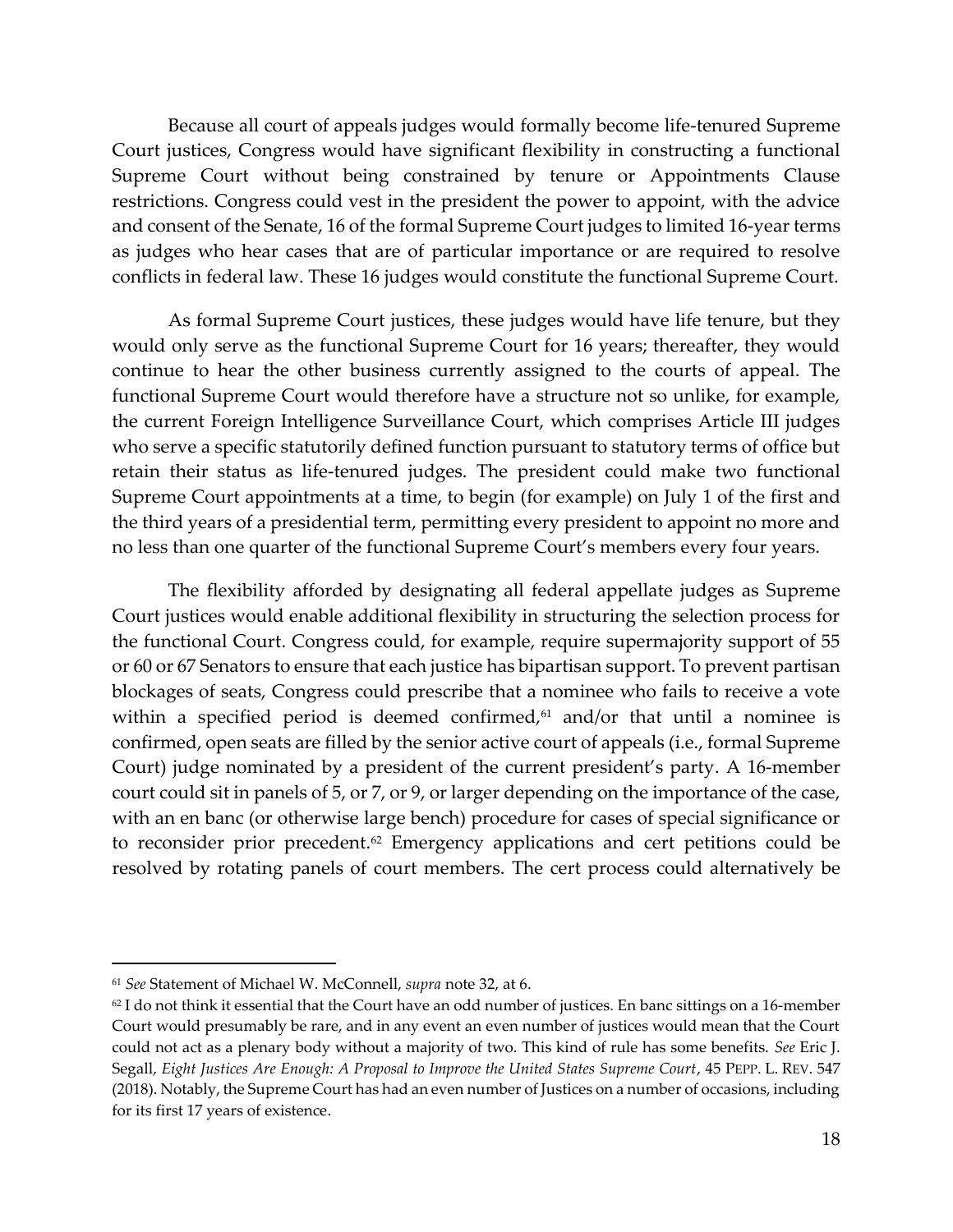Because all court of appeals judges would formally become life-tenured Supreme Court justices, Congress would have significant flexibility in constructing a functional Supreme Court without being constrained by tenure or Appointments Clause restrictions. Congress could vest in the president the power to appoint, with the advice and consent of the Senate, 16 of the formal Supreme Court judges to limited 16-year terms as judges who hear cases that are of particular importance or are required to resolve conflicts in federal law. These 16 judges would constitute the functional Supreme Court.

As formal Supreme Court justices, these judges would have life tenure, but they would only serve as the functional Supreme Court for 16 years; thereafter, they would continue to hear the other business currently assigned to the courts of appeal. The functional Supreme Court would therefore have a structure not so unlike, for example, the current Foreign Intelligence Surveillance Court, which comprises Article III judges who serve a specific statutorily defined function pursuant to statutory terms of office but retain their status as life-tenured judges. The president could make two functional Supreme Court appointments at a time, to begin (for example) on July 1 of the first and the third years of a presidential term, permitting every president to appoint no more and no less than one quarter of the functional Supreme Court's members every four years.

The flexibility afforded by designating all federal appellate judges as Supreme Court justices would enable additional flexibility in structuring the selection process for the functional Court. Congress could, for example, require supermajority support of 55 or 60 or 67 Senators to ensure that each justice has bipartisan support. To prevent partisan blockages of seats, Congress could prescribe that a nominee who fails to receive a vote within a specified period is deemed confirmed, $61$  and/or that until a nominee is confirmed, open seats are filled by the senior active court of appeals (i.e., formal Supreme Court) judge nominated by a president of the current president's party. A 16-member court could sit in panels of 5, or 7, or 9, or larger depending on the importance of the case, with an en banc (or otherwise large bench) procedure for cases of special significance or to reconsider prior precedent. $62$  Emergency applications and cert petitions could be resolved by rotating panels of court members. The cert process could alternatively be

<sup>61</sup> *See* Statement of Michael W. McConnell, *supra* note [32,](#page-7-0) at 6.

 $62$  I do not think it essential that the Court have an odd number of justices. En banc sittings on a 16-member Court would presumably be rare, and in any event an even number of justices would mean that the Court could not act as a plenary body without a majority of two. This kind of rule has some benefits. *See* Eric J. Segall, *Eight Justices Are Enough: A Proposal to Improve the United States Supreme Court*, 45 PEPP. L. REV. 547 (2018). Notably, the Supreme Court has had an even number of Justices on a number of occasions, including for its first 17 years of existence.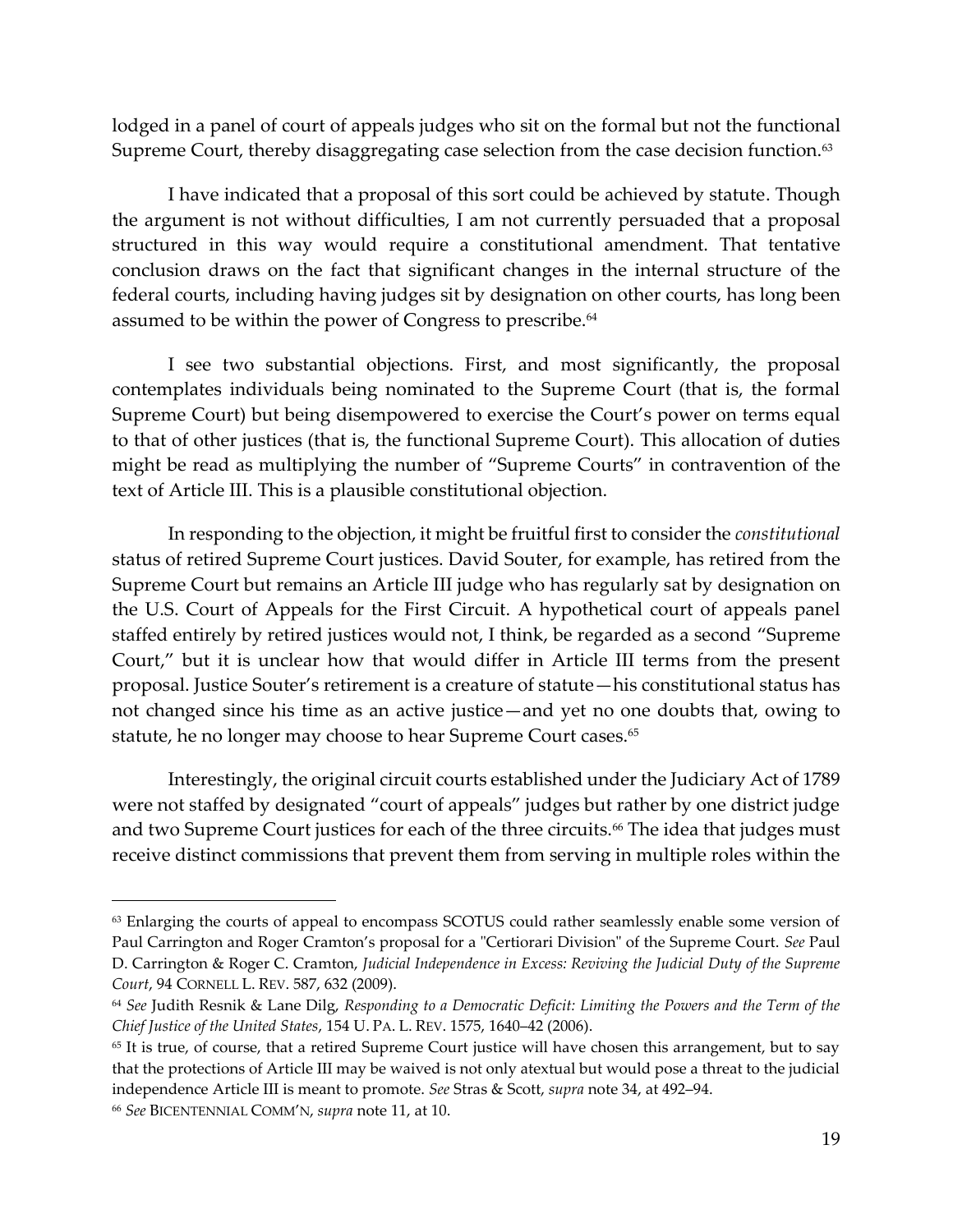lodged in a panel of court of appeals judges who sit on the formal but not the functional Supreme Court, thereby disaggregating case selection from the case decision function. 63

I have indicated that a proposal of this sort could be achieved by statute. Though the argument is not without difficulties, I am not currently persuaded that a proposal structured in this way would require a constitutional amendment. That tentative conclusion draws on the fact that significant changes in the internal structure of the federal courts, including having judges sit by designation on other courts, has long been assumed to be within the power of Congress to prescribe.<sup>64</sup>

<span id="page-18-0"></span>I see two substantial objections. First, and most significantly, the proposal contemplates individuals being nominated to the Supreme Court (that is, the formal Supreme Court) but being disempowered to exercise the Court's power on terms equal to that of other justices (that is, the functional Supreme Court). This allocation of duties might be read as multiplying the number of "Supreme Courts" in contravention of the text of Article III. This is a plausible constitutional objection.

In responding to the objection, it might be fruitful first to consider the *constitutional* status of retired Supreme Court justices. David Souter, for example, has retired from the Supreme Court but remains an Article III judge who has regularly sat by designation on the U.S. Court of Appeals for the First Circuit. A hypothetical court of appeals panel staffed entirely by retired justices would not, I think, be regarded as a second "Supreme Court," but it is unclear how that would differ in Article III terms from the present proposal. Justice Souter's retirement is a creature of statute—his constitutional status has not changed since his time as an active justice—and yet no one doubts that, owing to statute, he no longer may choose to hear Supreme Court cases.<sup>65</sup>

Interestingly, the original circuit courts established under the Judiciary Act of 1789 were not staffed by designated "court of appeals" judges but rather by one district judge and two Supreme Court justices for each of the three circuits.<sup>66</sup> The idea that judges must receive distinct commissions that prevent them from serving in multiple roles within the

<sup>&</sup>lt;sup>63</sup> Enlarging the courts of appeal to encompass SCOTUS could rather seamlessly enable some version of Paul Carrington and Roger Cramton's proposal for a "Certiorari Division" of the Supreme Court. *See* Paul D. Carrington & Roger C. Cramton, *Judicial Independence in Excess: Reviving the Judicial Duty of the Supreme Court*, 94 CORNELL L. REV. 587, 632 (2009).

<sup>64</sup> *See* Judith Resnik & Lane Dilg, *Responding to a Democratic Deficit: Limiting the Powers and the Term of the Chief Justice of the United States*, 154 U. PA. L. REV. 1575, 1640–42 (2006).

<sup>&</sup>lt;sup>65</sup> It is true, of course, that a retired Supreme Court justice will have chosen this arrangement, but to say that the protections of Article III may be waived is not only atextual but would pose a threat to the judicial independence Article III is meant to promote. *See* Stras & Scott, *supra* note [34,](#page-7-1) at 492–94.

<sup>66</sup> *See* BICENTENNIAL COMM'N, *supra* note [11,](#page-3-0) at 10.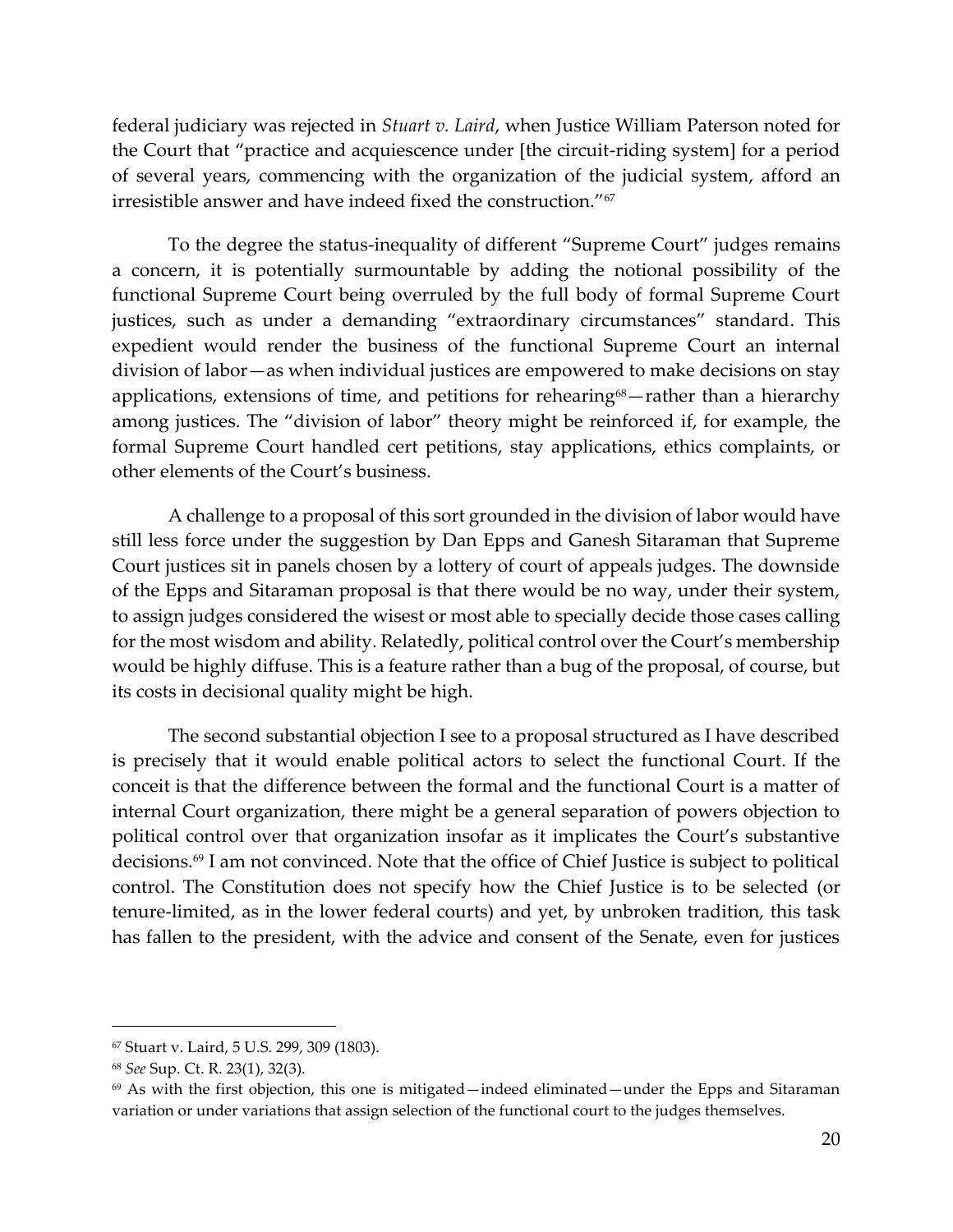federal judiciary was rejected in *Stuart v. Laird*, when Justice William Paterson noted for the Court that "practice and acquiescence under [the circuit-riding system] for a period of several years, commencing with the organization of the judicial system, afford an irresistible answer and have indeed fixed the construction."<sup>67</sup>

To the degree the status-inequality of different "Supreme Court" judges remains a concern, it is potentially surmountable by adding the notional possibility of the functional Supreme Court being overruled by the full body of formal Supreme Court justices, such as under a demanding "extraordinary circumstances" standard. This expedient would render the business of the functional Supreme Court an internal division of labor—as when individual justices are empowered to make decisions on stay applications, extensions of time, and petitions for rehearing<sup>68</sup>—rather than a hierarchy among justices. The "division of labor" theory might be reinforced if, for example, the formal Supreme Court handled cert petitions, stay applications, ethics complaints, or other elements of the Court's business.

A challenge to a proposal of this sort grounded in the division of labor would have still less force under the suggestion by Dan Epps and Ganesh Sitaraman that Supreme Court justices sit in panels chosen by a lottery of court of appeals judges. The downside of the Epps and Sitaraman proposal is that there would be no way, under their system, to assign judges considered the wisest or most able to specially decide those cases calling for the most wisdom and ability. Relatedly, political control over the Court's membership would be highly diffuse. This is a feature rather than a bug of the proposal, of course, but its costs in decisional quality might be high.

The second substantial objection I see to a proposal structured as I have described is precisely that it would enable political actors to select the functional Court. If the conceit is that the difference between the formal and the functional Court is a matter of internal Court organization, there might be a general separation of powers objection to political control over that organization insofar as it implicates the Court's substantive decisions. <sup>69</sup> I am not convinced. Note that the office of Chief Justice is subject to political control. The Constitution does not specify how the Chief Justice is to be selected (or tenure-limited, as in the lower federal courts) and yet, by unbroken tradition, this task has fallen to the president, with the advice and consent of the Senate, even for justices

<sup>67</sup> Stuart v. Laird, 5 U.S. 299, 309 (1803).

<sup>68</sup> *See* Sup. Ct. R. 23(1), 32(3).

 $69$  As with the first objection, this one is mitigated—indeed eliminated—under the Epps and Sitaraman variation or under variations that assign selection of the functional court to the judges themselves.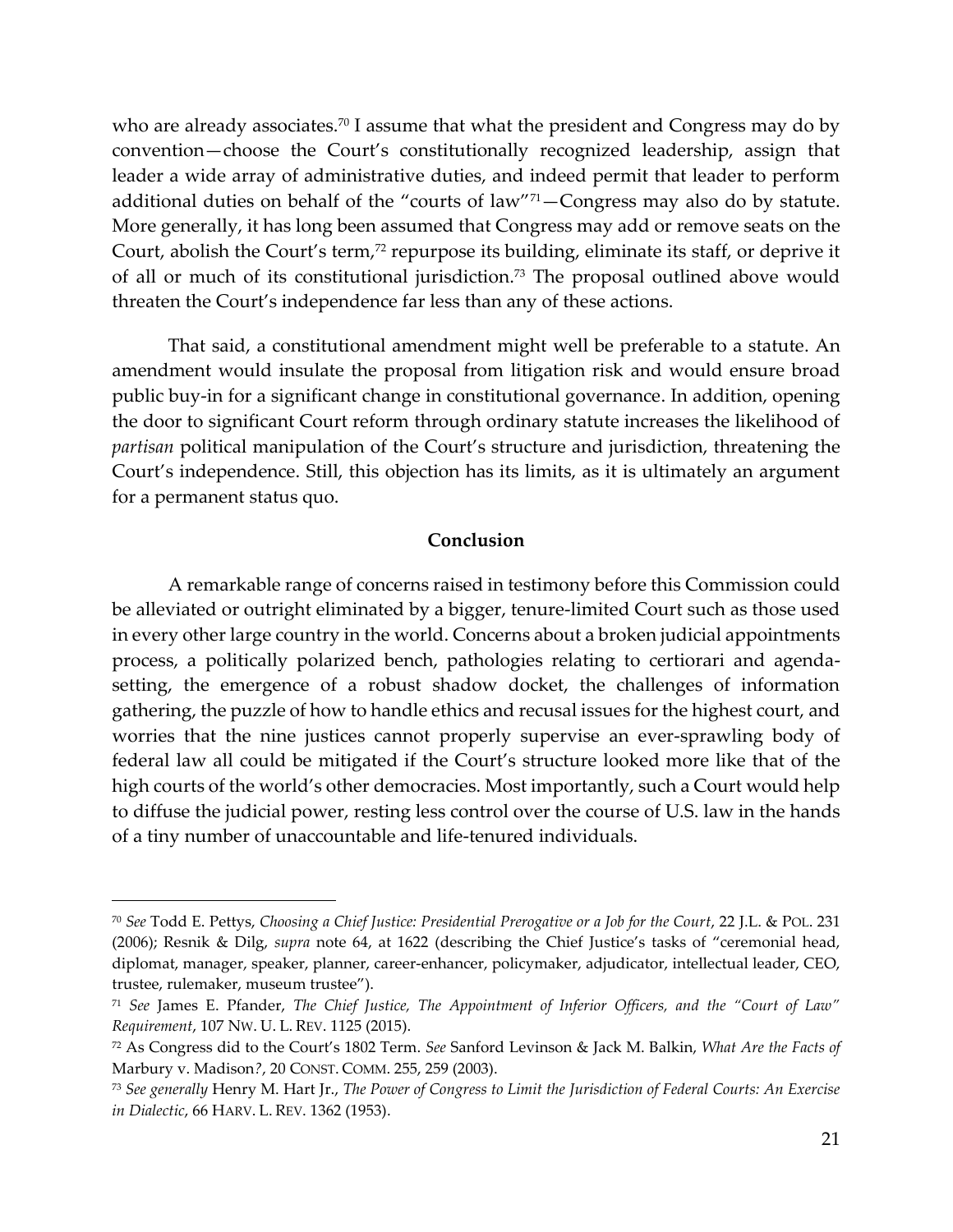who are already associates.<sup>70</sup> I assume that what the president and Congress may do by convention—choose the Court's constitutionally recognized leadership, assign that leader a wide array of administrative duties, and indeed permit that leader to perform additional duties on behalf of the "courts of law"71—Congress may also do by statute. More generally, it has long been assumed that Congress may add or remove seats on the Court, abolish the Court's term,<sup>72</sup> repurpose its building, eliminate its staff, or deprive it of all or much of its constitutional jurisdiction.<sup>73</sup> The proposal outlined above would threaten the Court's independence far less than any of these actions.

That said, a constitutional amendment might well be preferable to a statute. An amendment would insulate the proposal from litigation risk and would ensure broad public buy-in for a significant change in constitutional governance. In addition, opening the door to significant Court reform through ordinary statute increases the likelihood of *partisan* political manipulation of the Court's structure and jurisdiction, threatening the Court's independence. Still, this objection has its limits, as it is ultimately an argument for a permanent status quo.

### **Conclusion**

A remarkable range of concerns raised in testimony before this Commission could be alleviated or outright eliminated by a bigger, tenure-limited Court such as those used in every other large country in the world. Concerns about a broken judicial appointments process, a politically polarized bench, pathologies relating to certiorari and agendasetting, the emergence of a robust shadow docket, the challenges of information gathering, the puzzle of how to handle ethics and recusal issues for the highest court, and worries that the nine justices cannot properly supervise an ever-sprawling body of federal law all could be mitigated if the Court's structure looked more like that of the high courts of the world's other democracies. Most importantly, such a Court would help to diffuse the judicial power, resting less control over the course of U.S. law in the hands of a tiny number of unaccountable and life-tenured individuals.

<sup>70</sup> *See* Todd E. Pettys, *Choosing a Chief Justice: Presidential Prerogative or a Job for the Court*, 22 J.L. & POL. 231 (2006); Resnik & Dilg, *supra* note [64,](#page-18-0) at 1622 (describing the Chief Justice's tasks of "ceremonial head, diplomat, manager, speaker, planner, career-enhancer, policymaker, adjudicator, intellectual leader, CEO, trustee, rulemaker, museum trustee").

<sup>71</sup> *See* James E. Pfander, *The Chief Justice, The Appointment of Inferior Officers, and the "Court of Law" Requirement*, 107 NW. U. L. REV. 1125 (2015).

<sup>72</sup> As Congress did to the Court's 1802 Term. *See* Sanford Levinson & Jack M. Balkin, *What Are the Facts of*  Marbury v. Madison*?*, 20 CONST. COMM. 255, 259 (2003).

<sup>73</sup> *See generally* Henry M. Hart Jr., *The Power of Congress to Limit the Jurisdiction of Federal Courts: An Exercise in Dialectic*, 66 HARV. L. REV. 1362 (1953).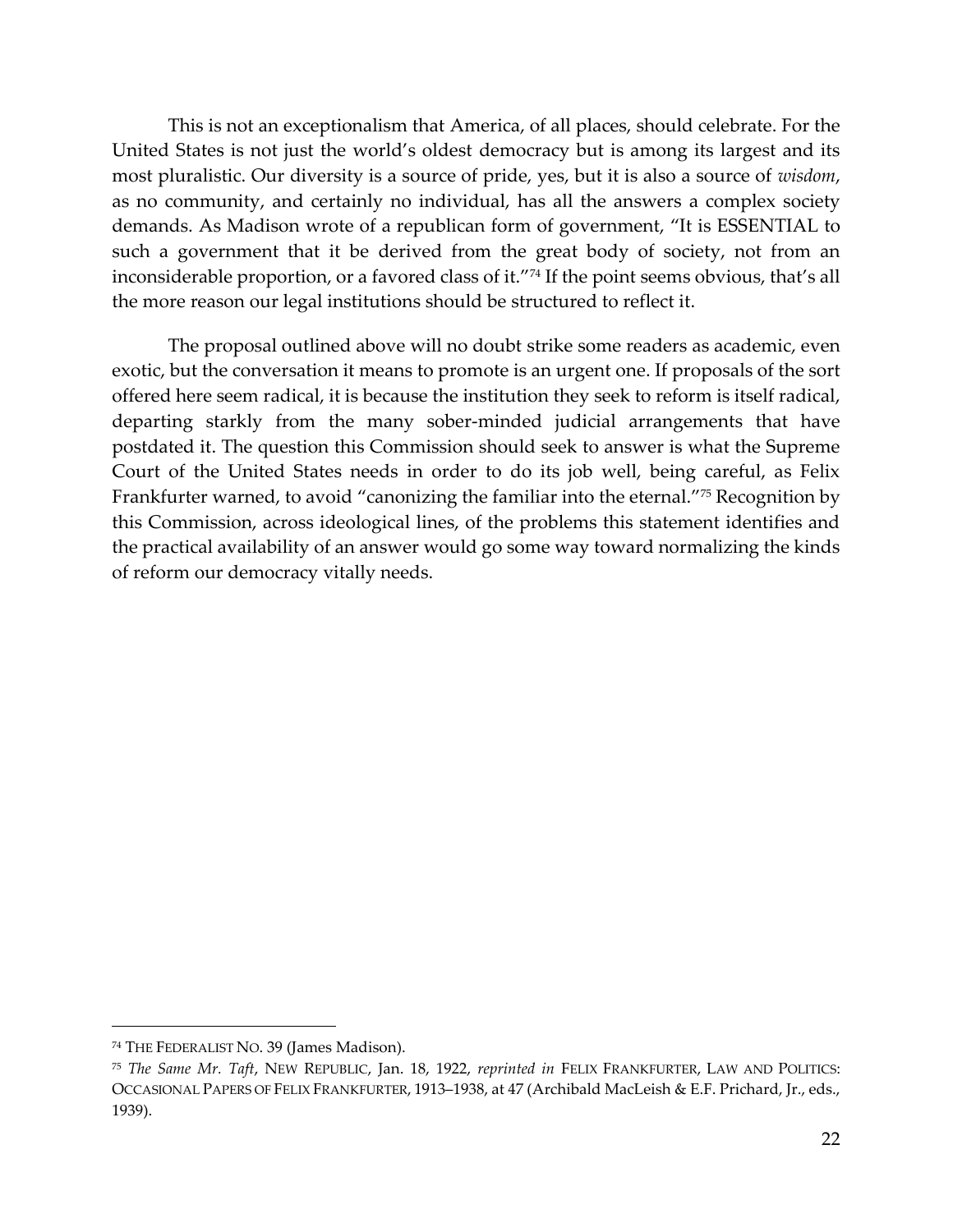This is not an exceptionalism that America, of all places, should celebrate. For the United States is not just the world's oldest democracy but is among its largest and its most pluralistic. Our diversity is a source of pride, yes, but it is also a source of *wisdom*, as no community, and certainly no individual, has all the answers a complex society demands. As Madison wrote of a republican form of government, "It is ESSENTIAL to such a government that it be derived from the great body of society, not from an inconsiderable proportion, or a favored class of it."<sup>74</sup> If the point seems obvious, that's all the more reason our legal institutions should be structured to reflect it.

The proposal outlined above will no doubt strike some readers as academic, even exotic, but the conversation it means to promote is an urgent one. If proposals of the sort offered here seem radical, it is because the institution they seek to reform is itself radical, departing starkly from the many sober-minded judicial arrangements that have postdated it. The question this Commission should seek to answer is what the Supreme Court of the United States needs in order to do its job well, being careful, as Felix Frankfurter warned, to avoid "canonizing the familiar into the eternal."<sup>75</sup> Recognition by this Commission, across ideological lines, of the problems this statement identifies and the practical availability of an answer would go some way toward normalizing the kinds of reform our democracy vitally needs.

<sup>74</sup> THE FEDERALIST NO. 39 (James Madison).

<sup>75</sup> *The Same Mr. Taft*, NEW REPUBLIC, Jan. 18, 1922, *reprinted in* FELIX FRANKFURTER, LAW AND POLITICS: OCCASIONAL PAPERS OF FELIX FRANKFURTER, 1913–1938, at 47 (Archibald MacLeish & E.F. Prichard, Jr., eds., 1939).